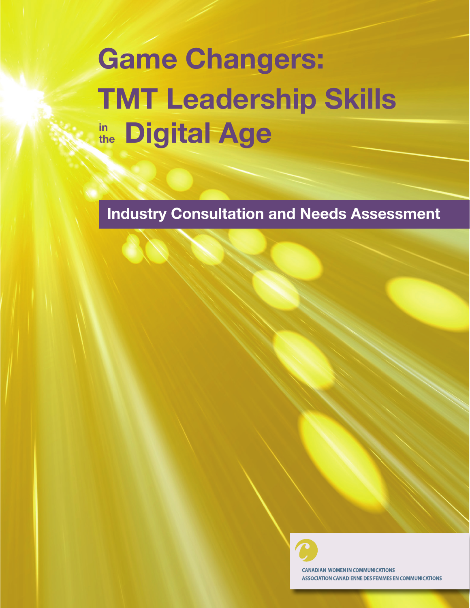# Game Changers: TMT Leadership Skills in Digital Age

Industry Consultation and Needs Assessment

**CANADIAN WOMEN IN COMMUNICATIONS ASSOCIATION CANADIENNE DES FEMMES EN COMMUNICATIONS**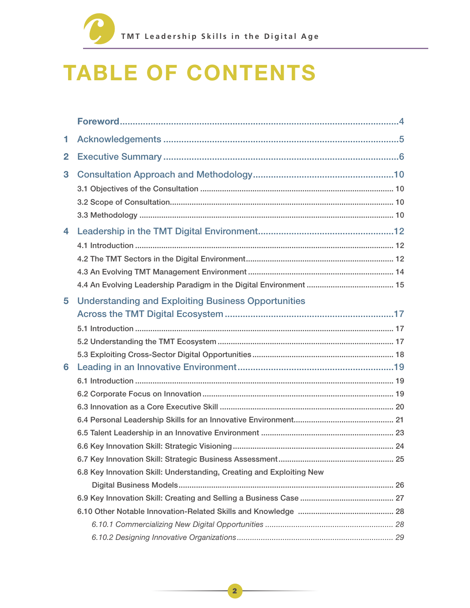

## TABLE OF CONTENTS

| 1            |                                                                      |  |
|--------------|----------------------------------------------------------------------|--|
| $\mathbf{2}$ |                                                                      |  |
| 3            |                                                                      |  |
|              |                                                                      |  |
|              |                                                                      |  |
|              |                                                                      |  |
| 4            |                                                                      |  |
|              |                                                                      |  |
|              |                                                                      |  |
|              |                                                                      |  |
|              |                                                                      |  |
| 5            | <b>Understanding and Exploiting Business Opportunities</b>           |  |
|              |                                                                      |  |
|              |                                                                      |  |
|              |                                                                      |  |
|              |                                                                      |  |
| 6            |                                                                      |  |
|              |                                                                      |  |
|              |                                                                      |  |
|              |                                                                      |  |
|              |                                                                      |  |
|              |                                                                      |  |
|              |                                                                      |  |
|              |                                                                      |  |
|              | 6.8 Key Innovation Skill: Understanding, Creating and Exploiting New |  |
|              |                                                                      |  |
|              |                                                                      |  |
|              |                                                                      |  |
|              |                                                                      |  |
|              |                                                                      |  |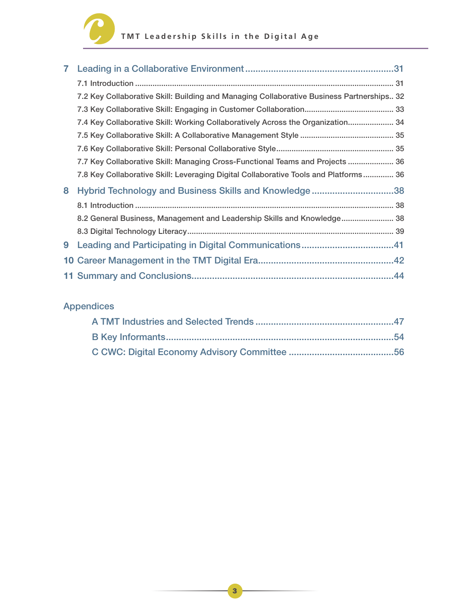

| 7  |                                                                                           |
|----|-------------------------------------------------------------------------------------------|
|    |                                                                                           |
|    | 7.2 Key Collaborative Skill: Building and Managing Collaborative Business Partnerships 32 |
|    |                                                                                           |
|    | 7.4 Key Collaborative Skill: Working Collaboratively Across the Organization 34           |
|    |                                                                                           |
|    |                                                                                           |
|    | 7.7 Key Collaborative Skill: Managing Cross-Functional Teams and Projects  36             |
|    | 7.8 Key Collaborative Skill: Leveraging Digital Collaborative Tools and Platforms 36      |
| 8  | Hybrid Technology and Business Skills and Knowledge38                                     |
|    |                                                                                           |
|    | 8.2 General Business, Management and Leadership Skills and Knowledge 38                   |
|    |                                                                                           |
| 9  |                                                                                           |
| 10 |                                                                                           |
|    |                                                                                           |

### Appendices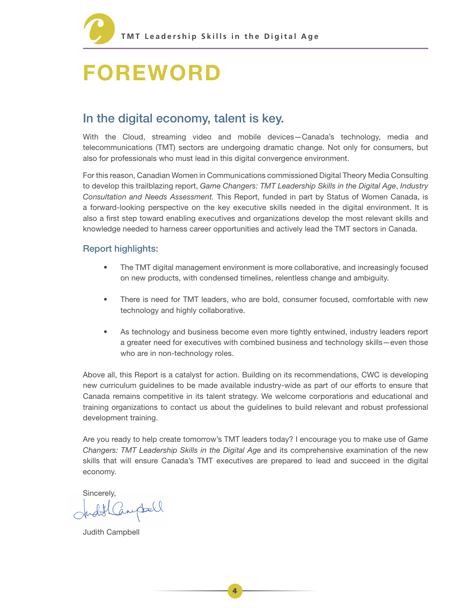

## FOREWORD

### In the digital economy, talent is key.

With the Cloud, streaming video and mobile devices—Canada's technology, media and telecommunications (TMT) sectors are undergoing dramatic change. Not only for consumers, but also for professionals who must lead in this digital convergence environment.

For this reason, Canadian Women in Communications commissioned Digital Theory Media Consulting to develop this trailblazing report, Game Changers: TMT Leadership Skills in the Digital Age, Industry Consultation and Needs Assessment. This Report, funded in part by Status of Women Canada, is a forward-looking perspective on the key executive skills needed in the digital environment. It is also a first step toward enabling executives and organizations develop the most relevant skills and knowledge needed to harness career opportunities and actively lead the TMT sectors in Canada.

#### Report highlights:

- The TMT digital management environment is more collaborative, and increasingly focused on new products, with condensed timelines, relentless change and ambiguity.
- There is need for TMT leaders, who are bold, consumer focused, comfortable with new technology and highly collaborative.
- As technology and business become even more tightly entwined, industry leaders report a greater need for executives with combined business and technology skills—even those who are in non-technology roles.

Above all, this Report is a catalyst for action. Building on its recommendations, CWC is developing new curriculum guidelines to be made available industry-wide as part of our efforts to ensure that Canada remains competitive in its talent strategy. We welcome corporations and educational and training organizations to contact us about the guidelines to build relevant and robust professional development training.

Are you ready to help create tomorrow's TMT leaders today? I encourage you to make use of Game Changers: TMT Leadership Skills in the Digital Age and its comprehensive examination of the new skills that will ensure Canada's TMT executives are prepared to lead and succeed in the digital economy.

Sincerely,

JudthCampbell

Judith Campbell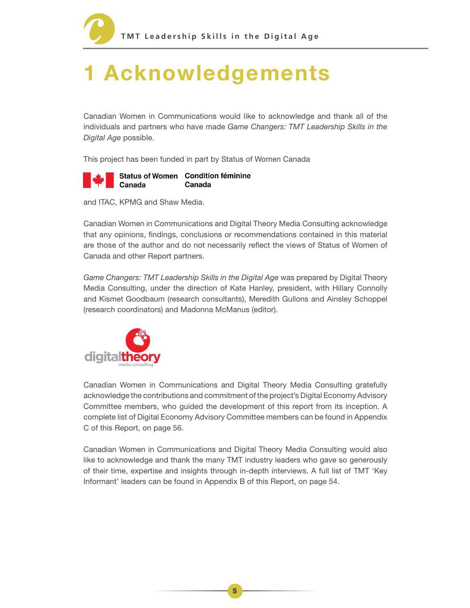

## 1 Acknowledgements

Canadian Women in Communications would like to acknowledge and thank all of the individuals and partners who have made Game Changers: TMT Leadership Skills in the Digital Age possible.

This project has been funded in part by Status of Women Canada



and ITAC, KPMG and Shaw Media.

Canadian Women in Communications and Digital Theory Media Consulting acknowledge that any opinions, findings, conclusions or recommendations contained in this material are those of the author and do not necessarily reflect the views of Status of Women of Canada and other Report partners.

Game Changers: TMT Leadership Skills in the Digital Age was prepared by Digital Theory Media Consulting, under the direction of Kate Hanley, president, with Hillary Connolly and Kismet Goodbaum (research consultants), Meredith Gullons and Ainsley Schoppel (research coordinators) and Madonna McManus (editor).



Canadian Women in Communications and Digital Theory Media Consulting gratefully acknowledge the contributions and commitment of the project's Digital Economy Advisory Committee members, who guided the development of this report from its inception. A complete list of Digital Economy Advisory Committee members can be found in Appendix C of this Report, on page 56.

Canadian Women in Communications and Digital Theory Media Consulting would also like to acknowledge and thank the many TMT industry leaders who gave so generously of their time, expertise and insights through in-depth interviews. A full list of TMT 'Key Informant' leaders can be found in Appendix B of this Report, on page 54.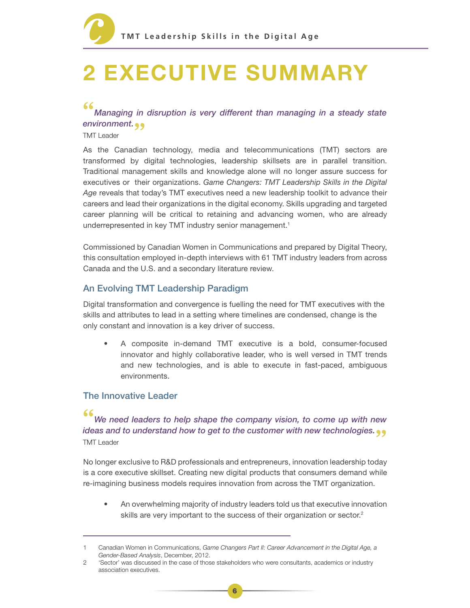

## 2 EXECUTIVE SUMMARY

**"** Managing in disruption is very different than managing in a steady state environment.**"**

TMT Leader

As the Canadian technology, media and telecommunications (TMT) sectors are transformed by digital technologies, leadership skillsets are in parallel transition. Traditional management skills and knowledge alone will no longer assure success for executives or their organizations. Game Changers: TMT Leadership Skills in the Digital Age reveals that today's TMT executives need a new leadership toolkit to advance their careers and lead their organizations in the digital economy. Skills upgrading and targeted career planning will be critical to retaining and advancing women, who are already underrepresented in key TMT industry senior management.<sup>1</sup>

Commissioned by Canadian Women in Communications and prepared by Digital Theory, this consultation employed in-depth interviews with 61 TMT industry leaders from across Canada and the U.S. and a secondary literature review.

#### An Evolving TMT Leadership Paradigm

Digital transformation and convergence is fuelling the need for TMT executives with the skills and attributes to lead in a setting where timelines are condensed, change is the only constant and innovation is a key driver of success.

A composite in-demand TMT executive is a bold, consumer-focused innovator and highly collaborative leader, who is well versed in TMT trends and new technologies, and is able to execute in fast-paced, ambiguous environments.

#### The Innovative Leader

#### **"**

#### We need leaders to help shape the company vision, to come up with new ideas and to understand how to get to the customer with new technologies. <sub>﴿ ﴾</sub><br>TMT Leader TMT Leader

No longer exclusive to R&D professionals and entrepreneurs, innovation leadership today is a core executive skillset. Creating new digital products that consumers demand while re-imagining business models requires innovation from across the TMT organization.

• An overwhelming majority of industry leaders told us that executive innovation skills are very important to the success of their organization or sector.<sup>2</sup>

<sup>1</sup> Canadian Women in Communications, Game Changers Part II: Career Advancement in the Digital Age, a Gender-Based Analysis, December, 2012.

<sup>2</sup> 'Sector' was discussed in the case of those stakeholders who were consultants, academics or industry association executives.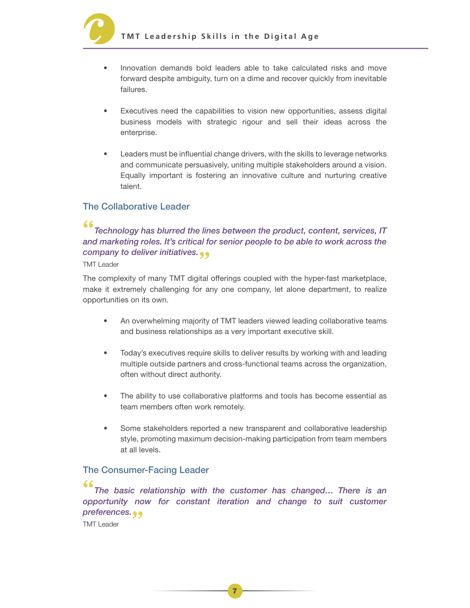

- Innovation demands bold leaders able to take calculated risks and move forward despite ambiguity, turn on a dime and recover quickly from inevitable failures.
- Executives need the capabilities to vision new opportunities, assess digital business models with strategic rigour and sell their ideas across the enterprise.
- Leaders must be influential change drivers, with the skills to leverage networks and communicate persuasively, uniting multiple stakeholders around a vision. Equally important is fostering an innovative culture and nurturing creative talent.

#### The Collaborative Leader

#### **"** Technology has blurred the lines between the product, content, services, IT and marketing roles. It's critical for senior people to be able to work across the company to deliver initiatives.**"**

#### TMT Leader

The complexity of many TMT digital offerings coupled with the hyper-fast marketplace, make it extremely challenging for any one company, let alone department, to realize opportunities on its own.

- An overwhelming majority of TMT leaders viewed leading collaborative teams and business relationships as a very important executive skill.
- Today's executives require skills to deliver results by working with and leading multiple outside partners and cross-functional teams across the organization, often without direct authority.
- The ability to use collaborative platforms and tools has become essential as team members often work remotely.
- Some stakeholders reported a new transparent and collaborative leadership style, promoting maximum decision-making participation from team members at all levels.

#### The Consumer-Facing Leader

**(6**<br>
The basic relationship with the customer has changed... There is an<br>
opportunity now for constant iteration and change to suit customer The basic relationship with the customer has changed… There is an preferences.**"**

TMT Leader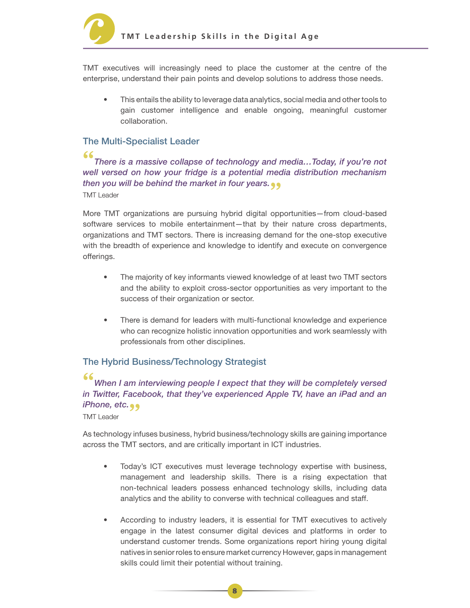TMT executives will increasingly need to place the customer at the centre of the enterprise, understand their pain points and develop solutions to address those needs.

This entails the ability to leverage data analytics, social media and other tools to gain customer intelligence and enable ongoing, meaningful customer collaboration.

#### The Multi-Specialist Leader

**"** There is a massive collapse of technology and media…Today, if you're not well versed on how your fridge is a potential media distribution mechanism then you will be behind the market in four years.**"** TMT Leader

More TMT organizations are pursuing hybrid digital opportunities—from cloud-based software services to mobile entertainment—that by their nature cross departments, organizations and TMT sectors. There is increasing demand for the one-stop executive with the breadth of experience and knowledge to identify and execute on convergence offerings.

- The majority of key informants viewed knowledge of at least two TMT sectors and the ability to exploit cross-sector opportunities as very important to the success of their organization or sector.
- There is demand for leaders with multi-functional knowledge and experience who can recognize holistic innovation opportunities and work seamlessly with professionals from other disciplines.

#### The Hybrid Business/Technology Strategist

#### **"**

When I am interviewing people I expect that they will be completely versed in Twitter, Facebook, that they've experienced Apple TV, have an iPad and an **iPhone, etc. 99**<br>TMT Leader

TMT Leader

As technology infuses business, hybrid business/technology skills are gaining importance across the TMT sectors, and are critically important in ICT industries.

- Today's ICT executives must leverage technology expertise with business, management and leadership skills. There is a rising expectation that non-technical leaders possess enhanced technology skills, including data analytics and the ability to converse with technical colleagues and staff.
- According to industry leaders, it is essential for TMT executives to actively engage in the latest consumer digital devices and platforms in order to understand customer trends. Some organizations report hiring young digital natives in seniorroles to ensure market currency However, gaps in management skills could limit their potential without training.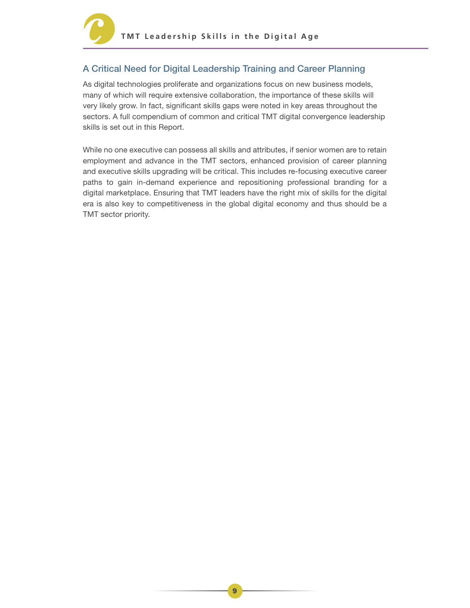

#### A Critical Need for Digital Leadership Training and Career Planning

As digital technologies proliferate and organizations focus on new business models, many of which will require extensive collaboration, the importance of these skills will very likely grow. In fact, significant skills gaps were noted in key areas throughout the sectors. A full compendium of common and critical TMT digital convergence leadership skills is set out in this Report.

While no one executive can possess all skills and attributes, if senior women are to retain employment and advance in the TMT sectors, enhanced provision of career planning and executive skills upgrading will be critical. This includes re-focusing executive career paths to gain in-demand experience and repositioning professional branding for a digital marketplace. Ensuring that TMT leaders have the right mix of skills for the digital era is also key to competitiveness in the global digital economy and thus should be a TMT sector priority.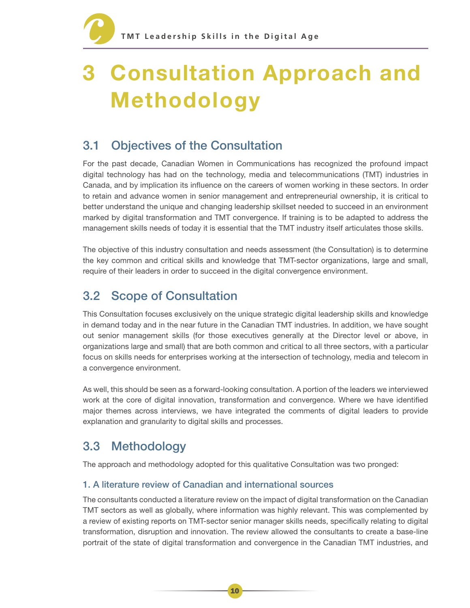## 3 Consultation Approach and Methodology

## 3.1 Objectives of the Consultation

For the past decade, Canadian Women in Communications has recognized the profound impact digital technology has had on the technology, media and telecommunications (TMT) industries in Canada, and by implication its influence on the careers of women working in these sectors. In order to retain and advance women in senior management and entrepreneurial ownership, it is critical to better understand the unique and changing leadership skillset needed to succeed in an environment marked by digital transformation and TMT convergence. If training is to be adapted to address the management skills needs of today it is essential that the TMT industry itself articulates those skills.

The objective of this industry consultation and needs assessment (the Consultation) is to determine the key common and critical skills and knowledge that TMT-sector organizations, large and small, require of their leaders in order to succeed in the digital convergence environment.

## 3.2 Scope of Consultation

This Consultation focuses exclusively on the unique strategic digital leadership skills and knowledge in demand today and in the near future in the Canadian TMT industries. In addition, we have sought out senior management skills (for those executives generally at the Director level or above, in organizations large and small) that are both common and critical to all three sectors, with a particular focus on skills needs for enterprises working at the intersection of technology, media and telecom in a convergence environment.

As well, this should be seen as a forward-looking consultation. A portion of the leaders we interviewed work at the core of digital innovation, transformation and convergence. Where we have identified major themes across interviews, we have integrated the comments of digital leaders to provide explanation and granularity to digital skills and processes.

## 3.3 Methodology

The approach and methodology adopted for this qualitative Consultation was two pronged:

#### 1. A literature review of Canadian and international sources

The consultants conducted a literature review on the impact of digital transformation on the Canadian TMT sectors as well as globally, where information was highly relevant. This was complemented by a review of existing reports on TMT-sector senior manager skills needs, specifically relating to digital transformation, disruption and innovation. The review allowed the consultants to create a base-line portrait of the state of digital transformation and convergence in the Canadian TMT industries, and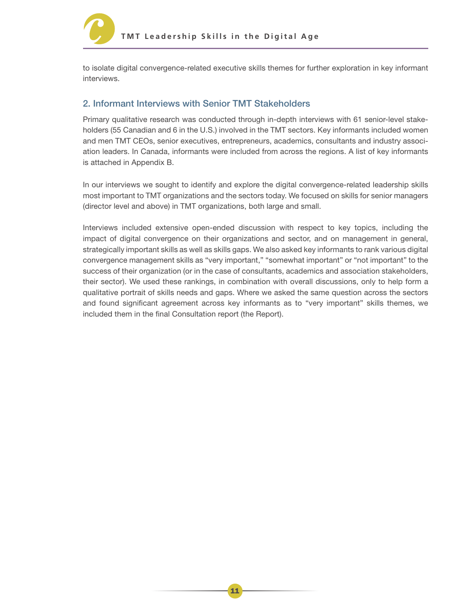

to isolate digital convergence-related executive skills themes for further exploration in key informant interviews.

#### 2. Informant Interviews with Senior TMT Stakeholders

Primary qualitative research was conducted through in-depth interviews with 61 senior-level stakeholders (55 Canadian and 6 in the U.S.) involved in the TMT sectors. Key informants included women and men TMT CEOs, senior executives, entrepreneurs, academics, consultants and industry association leaders. In Canada, informants were included from across the regions. A list of key informants is attached in Appendix B.

In our interviews we sought to identify and explore the digital convergence-related leadership skills most important to TMT organizations and the sectors today. We focused on skills for senior managers (director level and above) in TMT organizations, both large and small.

Interviews included extensive open-ended discussion with respect to key topics, including the impact of digital convergence on their organizations and sector, and on management in general, strategically important skills as well as skills gaps. We also asked key informants to rank various digital convergence management skills as "very important," "somewhat important" or "not important" to the success of their organization (or in the case of consultants, academics and association stakeholders, their sector). We used these rankings, in combination with overall discussions, only to help form a qualitative portrait of skills needs and gaps. Where we asked the same question across the sectors and found significant agreement across key informants as to "very important" skills themes, we included them in the final Consultation report (the Report).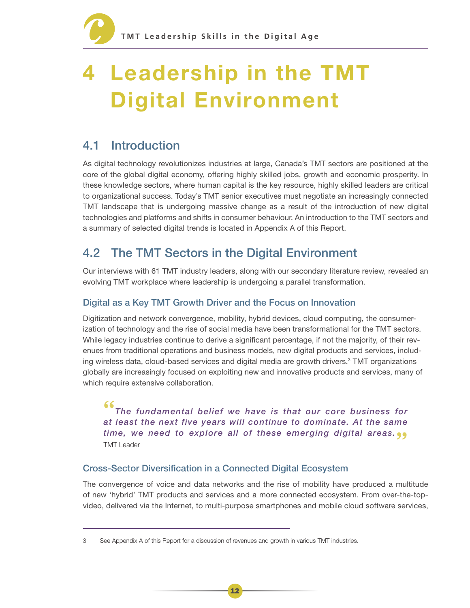## 4 Leadership in the TMT Digital Environment

## 4.1 Introduction

As digital technology revolutionizes industries at large, Canada's TMT sectors are positioned at the core of the global digital economy, offering highly skilled jobs, growth and economic prosperity. In these knowledge sectors, where human capital is the key resource, highly skilled leaders are critical to organizational success. Today's TMT senior executives must negotiate an increasingly connected TMT landscape that is undergoing massive change as a result of the introduction of new digital technologies and platforms and shifts in consumer behaviour. An introduction to the TMT sectors and a summary of selected digital trends is located in Appendix A of this Report.

## 4.2 The TMT Sectors in the Digital Environment

Our interviews with 61 TMT industry leaders, along with our secondary literature review, revealed an evolving TMT workplace where leadership is undergoing a parallel transformation.

#### Digital as a Key TMT Growth Driver and the Focus on Innovation

Digitization and network convergence, mobility, hybrid devices, cloud computing, the consumerization of technology and the rise of social media have been transformational for the TMT sectors. While legacy industries continue to derive a significant percentage, if not the majority, of their revenues from traditional operations and business models, new digital products and services, including wireless data, cloud-based services and digital media are growth drivers.<sup>3</sup> TMT organizations globally are increasingly focused on exploiting new and innovative products and services, many of which require extensive collaboration.

**(6**<br>The fundamental belief we have is that our core business for<br>at least the next five years will continue to dominate. At the same The fundamental belief we have is that our core business for **time, we need to explore all of these emerging digital areas.<sub>.</sub><br>TMT Leader** TMT Leader

#### Cross-Sector Diversification in a Connected Digital Ecosystem

The convergence of voice and data networks and the rise of mobility have produced a multitude of new 'hybrid' TMT products and services and a more connected ecosystem. From over-the-topvideo, delivered via the Internet, to multi-purpose smartphones and mobile cloud software services,

<sup>3</sup> See Appendix A of this Report for a discussion of revenues and growth in various TMT industries.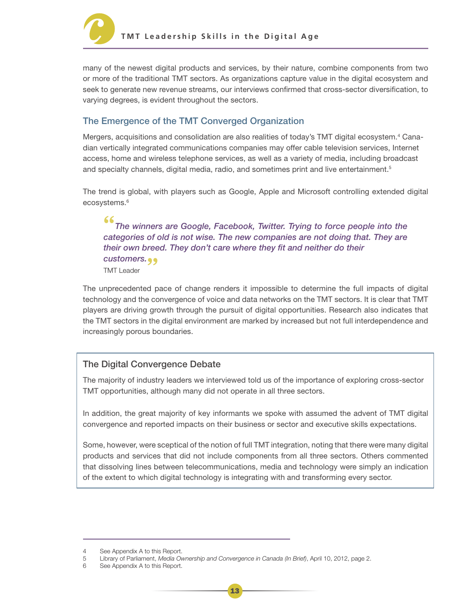

many of the newest digital products and services, by their nature, combine components from two or more of the traditional TMT sectors. As organizations capture value in the digital ecosystem and seek to generate new revenue streams, our interviews confirmed that cross-sector diversification, to varying degrees, is evident throughout the sectors.

#### The Emergence of the TMT Converged Organization

Mergers, acquisitions and consolidation are also realities of today's TMT digital ecosystem.<sup>4</sup> Canadian vertically integrated communications companies may offer cable television services, Internet access, home and wireless telephone services, as well as a variety of media, including broadcast and specialty channels, digital media, radio, and sometimes print and live entertainment.<sup>5</sup>

The trend is global, with players such as Google, Apple and Microsoft controlling extended digital ecosystems.<sup>6</sup>

**"**The winners are Google, Facebook, Twitter. Trying to force people into the categories of old is not wise. The new companies are not doing that. They are their own breed. They don't care where they fit and neither do their **customers. 99**<br>TMT Leader TMT Leader

The unprecedented pace of change renders it impossible to determine the full impacts of digital technology and the convergence of voice and data networks on the TMT sectors. It is clear that TMT players are driving growth through the pursuit of digital opportunities. Research also indicates that the TMT sectors in the digital environment are marked by increased but not full interdependence and increasingly porous boundaries.

#### The Digital Convergence Debate

The majority of industry leaders we interviewed told us of the importance of exploring cross-sector TMT opportunities, although many did not operate in all three sectors.

In addition, the great majority of key informants we spoke with assumed the advent of TMT digital convergence and reported impacts on their business or sector and executive skills expectations.

Some, however, were sceptical of the notion of full TMT integration, noting that there were many digital products and services that did not include components from all three sectors. Others commented that dissolving lines between telecommunications, media and technology were simply an indication of the extent to which digital technology is integrating with and transforming every sector.

<sup>4</sup> See Appendix A to this Report.

<sup>5</sup> Library of Parliament, Media Ownership and Convergence in Canada (In Brief), April 10, 2012, page 2.

<sup>6</sup> See Appendix A to this Report.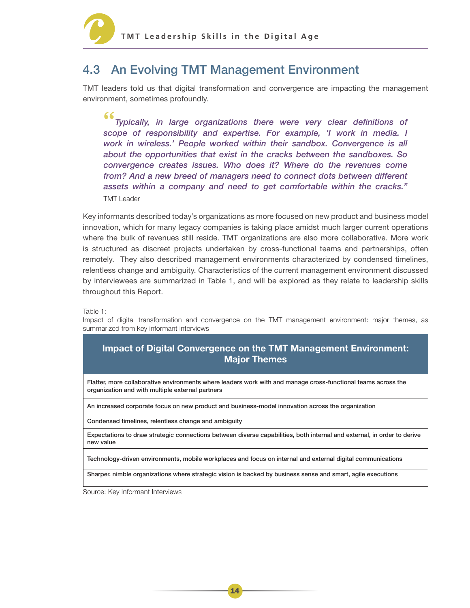

### 4.3 An Evolving TMT Management Environment

TMT leaders told us that digital transformation and convergence are impacting the management environment, sometimes profoundly.

**"** scope of responsibility and expertise. For example, 'I work in media. I Typically, in large organizations there were very clear definitions of work in wireless.' People worked within their sandbox. Convergence is all about the opportunities that exist in the cracks between the sandboxes. So convergence creates issues. Who does it? Where do the revenues come from? And a new breed of managers need to connect dots between different assets within a company and need to get comfortable within the cracks." TMT Leader

Key informants described today's organizations as more focused on new product and business model innovation, which for many legacy companies is taking place amidst much larger current operations where the bulk of revenues still reside. TMT organizations are also more collaborative. More work is structured as discreet projects undertaken by cross-functional teams and partnerships, often remotely. They also described management environments characterized by condensed timelines, relentless change and ambiguity. Characteristics of the current management environment discussed by interviewees are summarized in Table 1, and will be explored as they relate to leadership skills throughout this Report.

Table 1:

Impact of digital transformation and convergence on the TMT management environment: major themes, as summarized from key informant interviews

#### Impact of Digital Convergence on the TMT Management Environment: Major Themes

Flatter, more collaborative environments where leaders work with and manage cross-functional teams across the organization and with multiple external partners

An increased corporate focus on new product and business-model innovation across the organization

Condensed timelines, relentless change and ambiguity

Expectations to draw strategic connections between diverse capabilities, both internal and external, in order to derive new value

Technology-driven environments, mobile workplaces and focus on internal and external digital communications

Sharper, nimble organizations where strategic vision is backed by business sense and smart, agile executions

Source: Key Informant Interviews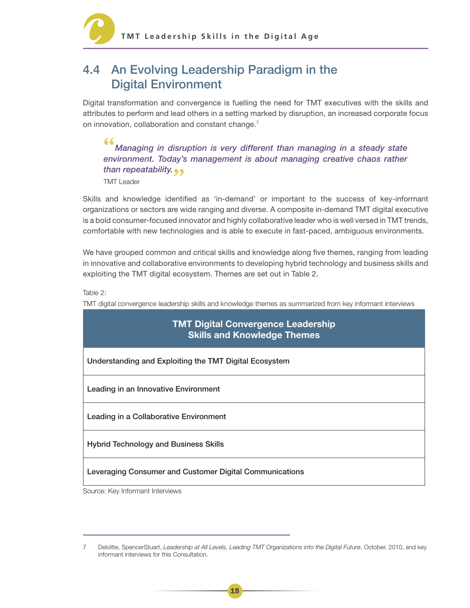### 4.4 An Evolving Leadership Paradigm in the Digital Environment

Digital transformation and convergence is fuelling the need for TMT executives with the skills and attributes to perform and lead others in a setting marked by disruption, an increased corporate focus on innovation, collaboration and constant change.<sup>7</sup>

**"** Managing in disruption is very different than managing in a steady state environment. Today's management is about managing creative chaos rather **than repeatability. • •**<br>TMT Leader

TMT Leader

Skills and knowledge identified as 'in-demand' or important to the success of key-informant organizations or sectors are wide ranging and diverse. A composite in-demand TMT digital executive is a bold consumer-focused innovator and highly collaborative leader who is well versed in TMT trends, comfortable with new technologies and is able to execute in fast-paced, ambiguous environments.

We have grouped common and critical skills and knowledge along five themes, ranging from leading in innovative and collaborative environments to developing hybrid technology and business skills and exploiting the TMT digital ecosystem. Themes are set out in Table 2.

Table 2:

TMT digital convergence leadership skills and knowledge themes as summarized from key informant interviews

### TMT Digital Convergence Leadership Skills and Knowledge Themes

Understanding and Exploiting the TMT Digital Ecosystem

Leading in an Innovative Environment

Leading in a Collaborative Environment

Hybrid Technology and Business Skills

Leveraging Consumer and Customer Digital Communications

Source: Key Informant Interviews

<sup>7</sup> Deloitte, SpencerStuart, Leadership at All Levels, Leading TMT Organizations into the Digital Future, October, 2010, and key informant interviews for this Consultation.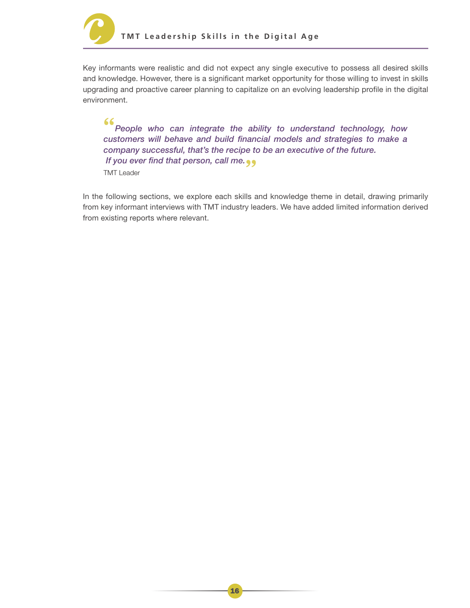

Key informants were realistic and did not expect any single executive to possess all desired skills and knowledge. However, there is a significant market opportunity for those willing to invest in skills upgrading and proactive career planning to capitalize on an evolving leadership profile in the digital environment.

**"** People who can integrate the ability to understand technology, how customers will behave and build financial models and strategies to make a company successful, that's the recipe to be an executive of the future. **If you ever find that person, call me.**<br>TMT Leader TMT Leader

In the following sections, we explore each skills and knowledge theme in detail, drawing primarily from key informant interviews with TMT industry leaders. We have added limited information derived from existing reports where relevant.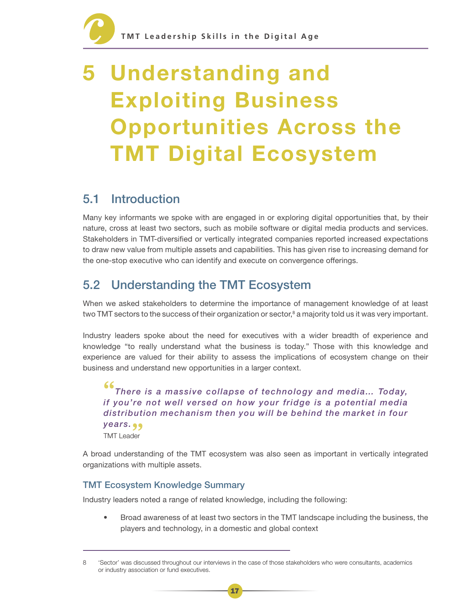## 5 Understanding and Exploiting Business Opportunities Across the TMT Digital Ecosystem

## 5.1 Introduction

Many key informants we spoke with are engaged in or exploring digital opportunities that, by their nature, cross at least two sectors, such as mobile software or digital media products and services. Stakeholders in TMT-diversified or vertically integrated companies reported increased expectations to draw new value from multiple assets and capabilities. This has given rise to increasing demand for the one-stop executive who can identify and execute on convergence offerings.

## 5.2 Understanding the TMT Ecosystem

When we asked stakeholders to determine the importance of management knowledge of at least two TMT sectors to the success of their organization or sector, $^8$  a majority told us it was very important.

Industry leaders spoke about the need for executives with a wider breadth of experience and knowledge "to really understand what the business is today." Those with this knowledge and experience are valued for their ability to assess the implications of ecosystem change on their business and understand new opportunities in a larger context.

**"** There is a massive collapse of technology and media… Today, if you're not well versed on how your fridge is a potential media distribution mechanism then you will be behind the market in four **years. •••**<br>TMT Leader TMT Leader

A broad understanding of the TMT ecosystem was also seen as important in vertically integrated organizations with multiple assets.

#### TMT Ecosystem Knowledge Summary

Industry leaders noted a range of related knowledge, including the following:

Broad awareness of at least two sectors in the TMT landscape including the business, the players and technology, in a domestic and global context

<sup>8</sup> 'Sector' was discussed throughout our interviews in the case of those stakeholders who were consultants, academics or industry association or fund executives.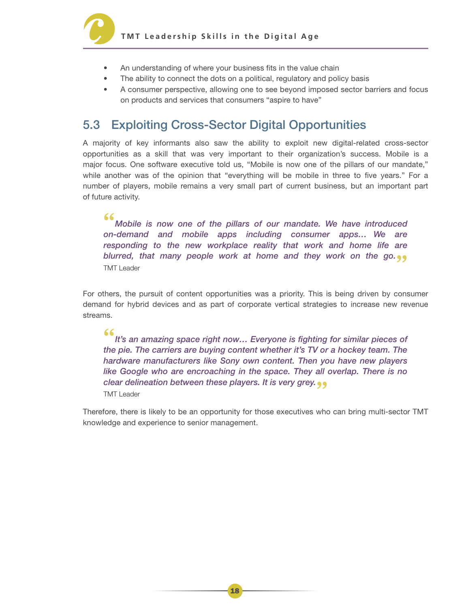

- An understanding of where your business fits in the value chain
- The ability to connect the dots on a political, regulatory and policy basis
- A consumer perspective, allowing one to see beyond imposed sector barriers and focus on products and services that consumers "aspire to have"

## 5.3 Exploiting Cross-Sector Digital Opportunities

A majority of key informants also saw the ability to exploit new digital-related cross-sector opportunities as a skill that was very important to their organization's success. Mobile is a major focus. One software executive told us, "Mobile is now one of the pillars of our mandate," while another was of the opinion that "everything will be mobile in three to five years." For a number of players, mobile remains a very small part of current business, but an important part of future activity.

**"** Mobile is now one of the pillars of our mandate. We have introduced on-demand and mobile apps including consumer apps… We are responding to the new workplace reality that work and home life are **blurred, that many people work at home and they work on the go.<sub>..</sub><br>TMT Leader** TMT Leader

For others, the pursuit of content opportunities was a priority. This is being driven by consumer demand for hybrid devices and as part of corporate vertical strategies to increase new revenue streams.

**"** It's an amazing space right now... Everyone is fighting for similar pieces of<br>the pie. The carriers are buying content whether it's TV or a hockey team. The It's an amazing space right now… Everyone is fighting for similar pieces of hardware manufacturers like Sony own content. Then you have new players like Google who are encroaching in the space. They all overlap. There is no clear delineation between these players. It is very grey. **"**TMT Leader

Therefore, there is likely to be an opportunity for those executives who can bring multi-sector TMT knowledge and experience to senior management.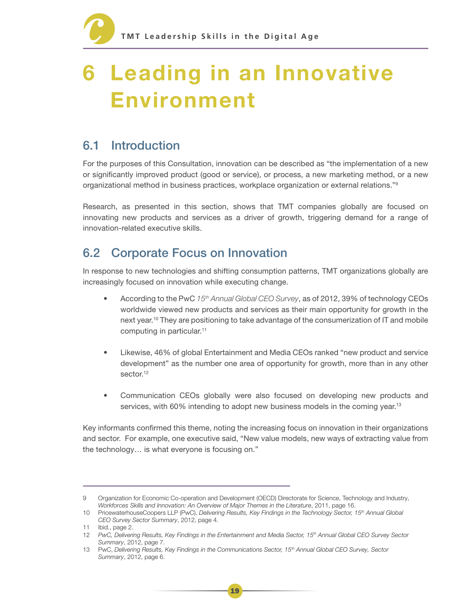## 6 Leading in an Innovative Environment

## 6.1 Introduction

For the purposes of this Consultation, innovation can be described as "the implementation of a new or significantly improved product (good or service), or process, a new marketing method, or a new organizational method in business practices, workplace organization or external relations."9

Research, as presented in this section, shows that TMT companies globally are focused on innovating new products and services as a driver of growth, triggering demand for a range of innovation-related executive skills.

## 6.2 Corporate Focus on Innovation

In response to new technologies and shifting consumption patterns, TMT organizations globally are increasingly focused on innovation while executing change.

- According to the PwC 15<sup>th</sup> Annual Global CEO Survey, as of 2012, 39% of technology CEOs worldwide viewed new products and services as their main opportunity for growth in the next year.<sup>10</sup> They are positioning to take advantage of the consumerization of IT and mobile computing in particular.<sup>11</sup>
- Likewise, 46% of global Entertainment and Media CEOs ranked "new product and service development" as the number one area of opportunity for growth, more than in any other sector<sup>12</sup>
- Communication CEOs globally were also focused on developing new products and services, with 60% intending to adopt new business models in the coming year.<sup>13</sup>

Key informants confirmed this theme, noting the increasing focus on innovation in their organizations and sector. For example, one executive said, "New value models, new ways of extracting value from the technology… is what everyone is focusing on."

<sup>9</sup> Organization for Economic Co-operation and Development (OECD) Directorate for Science, Technology and Industry, Workforces Skills and Innovation: An Overview of Major Themes in the Literature, 2011, page 16.

<sup>10</sup> PricewaterhouseCoopers LLP (PwC), Delivering Results, Key Findings in the Technology Sector, 15<sup>th</sup> Annual Global CEO Survey Sector Summary, 2012, page 4.

<sup>11</sup> Ibid., page 2.

<sup>12</sup> PwC, Delivering Results, Key Findings in the Entertainment and Media Sector, 15<sup>th</sup> Annual Global CEO Survey Sector Summary, 2012, page 7.

<sup>13</sup> PwC, Delivering Results, Key Findings in the Communications Sector, 15<sup>th</sup> Annual Global CEO Survey, Sector Summary, 2012, page 6.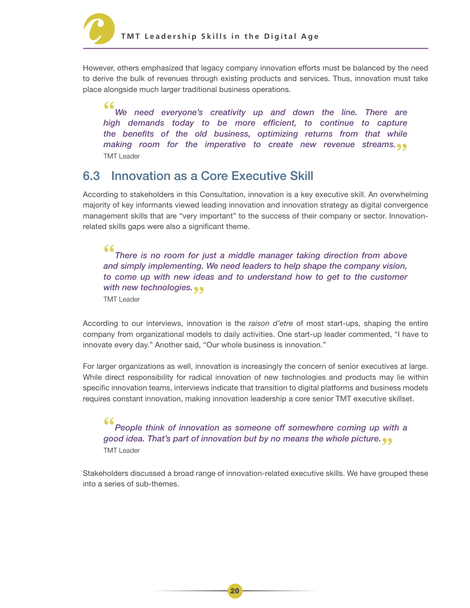

However, others emphasized that legacy company innovation efforts must be balanced by the need to derive the bulk of revenues through existing products and services. Thus, innovation must take place alongside much larger traditional business operations.

**"** high demands today to be more efficient, to continue to capture We need everyone's creativity up and down the line. There are the benefits of the old business, optimizing returns from that while making room for the imperative to create new revenue streams.<sub>.</sub><br>TMT Leader TMT Leader

### 6.3 Innovation as a Core Executive Skill

According to stakeholders in this Consultation, innovation is a key executive skill. An overwhelming majority of key informants viewed leading innovation and innovation strategy as digital convergence management skills that are "very important" to the success of their company or sector. Innovationrelated skills gaps were also a significant theme.

**"** There is no room for just a middle manager taking direction from above and simply implementing. We need leaders to help shape the company vision, to come up with new ideas and to understand how to get to the customer **with new technologies. ••**<br>TMT Leader TMT Leader

According to our interviews, innovation is the raison d'etre of most start-ups, shaping the entire company from organizational models to daily activities. One start-up leader commented, "I have to innovate every day." Another said, "Our whole business is innovation."

For larger organizations as well, innovation is increasingly the concern of senior executives at large. While direct responsibility for radical innovation of new technologies and products may lie within specific innovation teams, interviews indicate that transition to digital platforms and business models requires constant innovation, making innovation leadership a core senior TMT executive skillset.

**Example 19 Set of innovation as someone off somewhere coming up wit good idea. That's part of innovation but by no means the whole picture. <b>(1)**<br>TMT Leader People think of innovation as someone off somewhere coming up with a TMT Leader

Stakeholders discussed a broad range of innovation-related executive skills. We have grouped these into a series of sub-themes.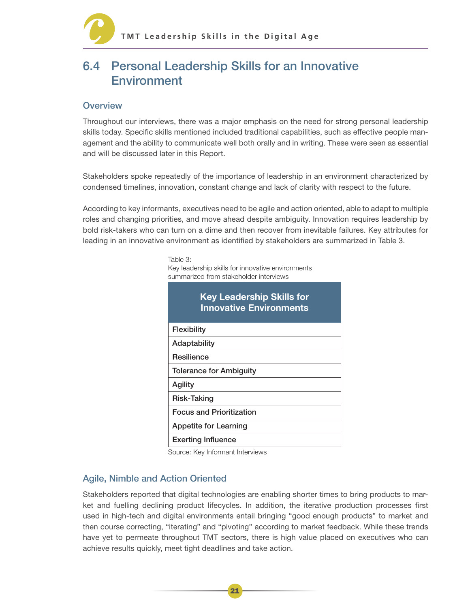## 6.4 Personal Leadership Skills for an Innovative **Environment**

#### **Overview**

Throughout our interviews, there was a major emphasis on the need for strong personal leadership skills today. Specific skills mentioned included traditional capabilities, such as effective people management and the ability to communicate well both orally and in writing. These were seen as essential and will be discussed later in this Report.

Stakeholders spoke repeatedly of the importance of leadership in an environment characterized by condensed timelines, innovation, constant change and lack of clarity with respect to the future.

According to key informants, executives need to be agile and action oriented, able to adapt to multiple roles and changing priorities, and move ahead despite ambiguity. Innovation requires leadership by bold risk-takers who can turn on a dime and then recover from inevitable failures. Key attributes for leading in an innovative environment as identified by stakeholders are summarized in Table 3.

> Table 3: Key leadership skills for innovative environments summarized from stakeholder interviews

| <b>Key Leadership Skills for</b><br><b>Innovative Environments</b> |
|--------------------------------------------------------------------|
| Flexibility                                                        |
| Adaptability                                                       |
| <b>Resilience</b>                                                  |
| <b>Tolerance for Ambiguity</b>                                     |
| Agility                                                            |
| Risk-Taking                                                        |
| <b>Focus and Prioritization</b>                                    |
| <b>Appetite for Learning</b>                                       |
| <b>Exerting Influence</b>                                          |

Source: Key Informant Interviews

#### Agile, Nimble and Action Oriented

Stakeholders reported that digital technologies are enabling shorter times to bring products to market and fuelling declining product lifecycles. In addition, the iterative production processes first used in high-tech and digital environments entail bringing "good enough products" to market and then course correcting, "iterating" and "pivoting" according to market feedback. While these trends have yet to permeate throughout TMT sectors, there is high value placed on executives who can achieve results quickly, meet tight deadlines and take action.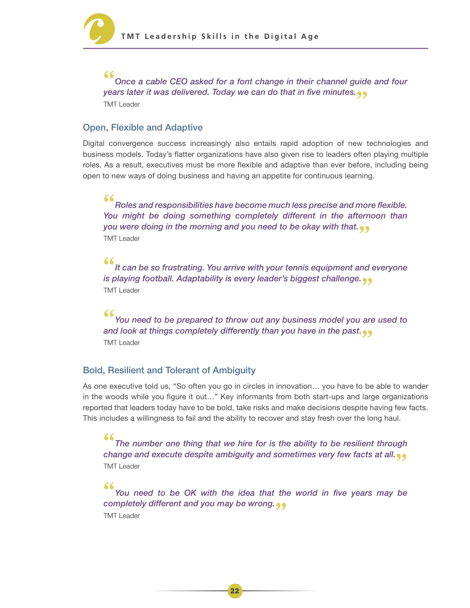

**"**Once a cable CEO asked for a font change in their channel guide and four years later it was delivered. Today we can do that in five minutes. **"** TMT Leader

#### Open, Flexible and Adaptive

Digital convergence success increasingly also entails rapid adoption of new technologies and business models. Today's flatter organizations have also given rise to leaders often playing multiple roles. As a result, executives must be more flexible and adaptive than ever before, including being open to new ways of doing business and having an appetite for continuous learning.

**"** Roles and responsibilities have become much less precise and more flexible. You might be doing something completely different in the afternoon than you were doing in the morning and you need to be okay with that.<sub>.</sub><br>TMT Leader TMT Leader

**form** the so frustrating. You arrive with your tennis equipment and the playing football. Adaptability is every leader's biggest challenge. **(1)**<br>TMT Leader It can be so frustrating. You arrive with your tennis equipment and everyone TMT Leader

#### **"**

You need to be prepared to throw out any business model you are used to and look at things completely differently than you have in the past.<sub>.</sub><br>TMT Leader TMT Leader

#### Bold, Resilient and Tolerant of Ambiguity

As one executive told us, "So often you go in circles in innovation… you have to be able to wander in the woods while you figure it out…" Key informants from both start-ups and large organizations reported that leaders today have to be bold, take risks and make decisions despite having few facts. This includes a willingness to fail and the ability to recover and stay fresh over the long haul.

**16** The number one thing that we hire for is the ability to be resilient through change and execute despite ambiguity and sometimes very few facts at all. **(1)** The number one thing that we hire for is the ability to be resilient through TMT Leader

**"**You need to be OK with the idea that the world in five years may be completely different and you may be wrong. **"** TMT Leader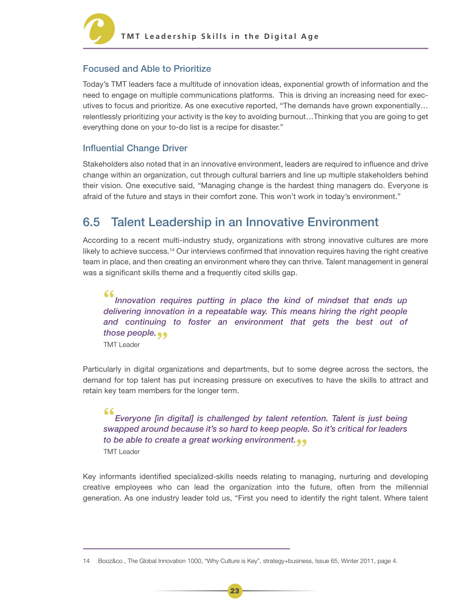

#### Focused and Able to Prioritize

Today's TMT leaders face a multitude of innovation ideas, exponential growth of information and the need to engage on multiple communications platforms. This is driving an increasing need for executives to focus and prioritize. As one executive reported, "The demands have grown exponentially… relentlessly prioritizing your activity is the key to avoiding burnout…Thinking that you are going to get everything done on your to-do list is a recipe for disaster."

#### Influential Change Driver

Stakeholders also noted that in an innovative environment, leaders are required to influence and drive change within an organization, cut through cultural barriers and line up multiple stakeholders behind their vision. One executive said, "Managing change is the hardest thing managers do. Everyone is afraid of the future and stays in their comfort zone. This won't work in today's environment."

### 6.5 Talent Leadership in an Innovative Environment

According to a recent multi-industry study, organizations with strong innovative cultures are more likely to achieve success.14 Our interviews confirmed that innovation requires having the right creative team in place, and then creating an environment where they can thrive. Talent management in general was a significant skills theme and a frequently cited skills gap.

**(6**<br>
Innovation requires putting in place the kind of mindset that ends up<br>
delivering innovation in a repeatable way. This means hiring the right people Innovation requires putting in place the kind of mindset that ends up and continuing to foster an environment that gets the best out of those people. **"**

TMT Leader

Particularly in digital organizations and departments, but to some degree across the sectors, the demand for top talent has put increasing pressure on executives to have the skills to attract and retain key team members for the longer term.

**"**Everyone [in digital] is challenged by talent retention. Talent is just being swapped around because it's so hard to keep people. So it's critical for leaders to be able to create a great working environment. **"**TMT Leader

Key informants identified specialized-skills needs relating to managing, nurturing and developing creative employees who can lead the organization into the future, often from the millennial generation. As one industry leader told us, "First you need to identify the right talent. Where talent

<sup>14</sup> Booz&co., The Global Innovation 1000, "Why Culture is Key", strategy+business, Issue 65, Winter 2011, page 4.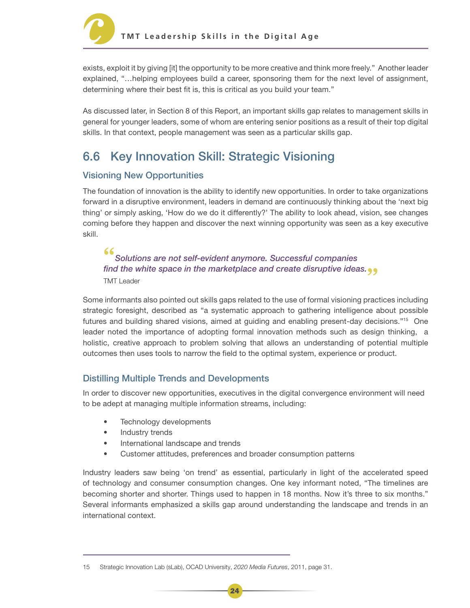

exists, exploit it by giving [it] the opportunity to be more creative and think more freely." Another leader explained, "…helping employees build a career, sponsoring them for the next level of assignment, determining where their best fit is, this is critical as you build your team."

As discussed later, in Section 8 of this Report, an important skills gap relates to management skills in general for younger leaders, some of whom are entering senior positions as a result of their top digital skills. In that context, people management was seen as a particular skills gap.

## 6.6 Key Innovation Skill: Strategic Visioning

#### Visioning New Opportunities

The foundation of innovation is the ability to identify new opportunities. In order to take organizations forward in a disruptive environment, leaders in demand are continuously thinking about the 'next big thing' or simply asking, 'How do we do it differently?' The ability to look ahead, vision, see changes coming before they happen and discover the next winning opportunity was seen as a key executive skill.

**"**Solutions are not self-evident anymore. Successful companies find the white space in the marketplace and create disruptive ideas.<sub>.</sub><br>TMT Leader TMT Leader

Some informants also pointed out skills gaps related to the use of formal visioning practices including strategic foresight, described as "a systematic approach to gathering intelligence about possible futures and building shared visions, aimed at guiding and enabling present-day decisions."15 One leader noted the importance of adopting formal innovation methods such as design thinking, a holistic, creative approach to problem solving that allows an understanding of potential multiple outcomes then uses tools to narrow the field to the optimal system, experience or product.

#### Distilling Multiple Trends and Developments

In order to discover new opportunities, executives in the digital convergence environment will need to be adept at managing multiple information streams, including:

- Technology developments
- Industry trends
- International landscape and trends
- Customer attitudes, preferences and broader consumption patterns

Industry leaders saw being 'on trend' as essential, particularly in light of the accelerated speed of technology and consumer consumption changes. One key informant noted, "The timelines are becoming shorter and shorter. Things used to happen in 18 months. Now it's three to six months." Several informants emphasized a skills gap around understanding the landscape and trends in an international context.

<sup>15</sup> Strategic Innovation Lab (sLab), OCAD University, 2020 Media Futures, 2011, page 31.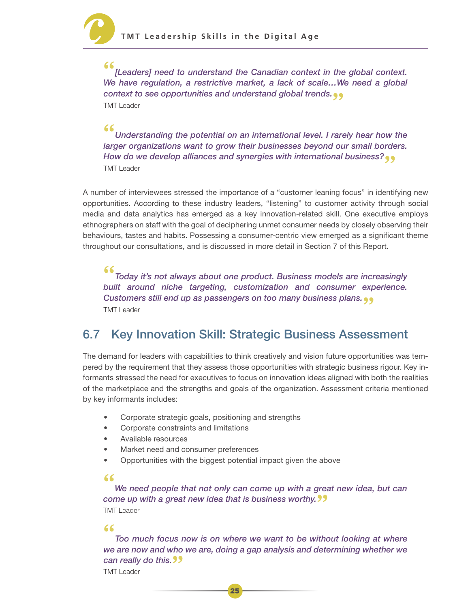

[Leaders] need to understand the Canadian context in the global context. We have regulation, a restrictive market, a lack of scale...We need a global context to see opportunities and understand global trends. **"** TMT Leader

**"** Understanding the potential on an international level. I rarely hear how the larger organizations want to grow their businesses beyond our small borders. How do we develop alliances and synergies with international business? **"**TMT Leader

A number of interviewees stressed the importance of a "customer leaning focus" in identifying new opportunities. According to these industry leaders, "listening" to customer activity through social media and data analytics has emerged as a key innovation-related skill. One executive employs ethnographers on staff with the goal of deciphering unmet consumer needs by closely observing their behaviours, tastes and habits. Possessing a consumer-centric view emerged as a significant theme throughout our consultations, and is discussed in more detail in Section 7 of this Report.

**"** Today it's not always about one product. Business models are increasingly built around niche targeting, customization and consumer experience. Customers still end up as passengers on too many business plans. **"** TMT Leader

### 6.7 Key Innovation Skill: Strategic Business Assessment

The demand for leaders with capabilities to think creatively and vision future opportunities was tempered by the requirement that they assess those opportunities with strategic business rigour. Key informants stressed the need for executives to focus on innovation ideas aligned with both the realities of the marketplace and the strengths and goals of the organization. Assessment criteria mentioned by key informants includes:

- Corporate strategic goals, positioning and strengths
- Corporate constraints and limitations
- Available resources
- Market need and consumer preferences
- Opportunities with the biggest potential impact given the above

#### **"**

We need people that not only can come up with a great new idea, but can come up with a great new idea that is business worthy. **"** TMT Leader

#### **"**

Too much focus now is on where we want to be without looking at where we are now and who we are, doing a gap analysis and determining whether we **can really do this.??**<br>TMT Leader

TMT Leader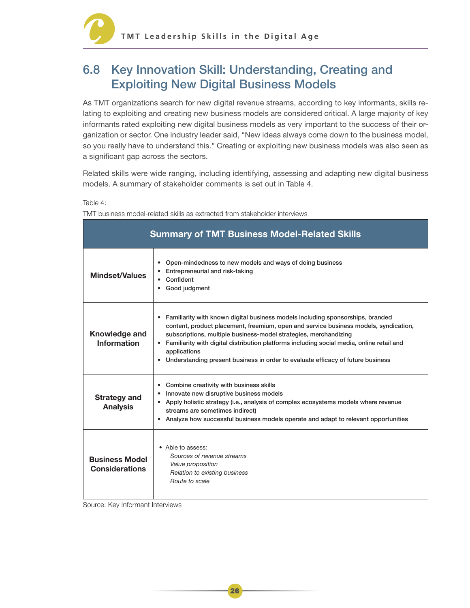### 6.8 Key Innovation Skill: Understanding, Creating and Exploiting New Digital Business Models

As TMT organizations search for new digital revenue streams, according to key informants, skills relating to exploiting and creating new business models are considered critical. A large majority of key informants rated exploiting new digital business models as very important to the success of their organization or sector. One industry leader said, "New ideas always come down to the business model, so you really have to understand this." Creating or exploiting new business models was also seen as a significant gap across the sectors.

Related skills were wide ranging, including identifying, assessing and adapting new digital business models. A summary of stakeholder comments is set out in Table 4.

Table 4:

TMT business model-related skills as extracted from stakeholder interviews

| <b>Summary of TMT Business Model-Related Skills</b> |                                                                                                                                                                                                                                                                                                                                                                                                                                                                      |  |  |  |  |
|-----------------------------------------------------|----------------------------------------------------------------------------------------------------------------------------------------------------------------------------------------------------------------------------------------------------------------------------------------------------------------------------------------------------------------------------------------------------------------------------------------------------------------------|--|--|--|--|
| <b>Mindset/Values</b>                               | Open-mindedness to new models and ways of doing business<br>$\bullet$<br>Entrepreneurial and risk-taking<br>Confident<br>Good judgment                                                                                                                                                                                                                                                                                                                               |  |  |  |  |
| Knowledge and<br><b>Information</b>                 | Familiarity with known digital business models including sponsorships, branded<br>content, product placement, freemium, open and service business models, syndication,<br>subscriptions, multiple business-model strategies, merchandizing<br>Familiarity with digital distribution platforms including social media, online retail and<br>$\bullet$<br>applications<br>Understanding present business in order to evaluate efficacy of future business<br>$\bullet$ |  |  |  |  |
| <b>Strategy and</b><br><b>Analysis</b>              | Combine creativity with business skills<br>Innovate new disruptive business models<br>Apply holistic strategy (i.e., analysis of complex ecosystems models where revenue<br>streams are sometimes indirect)<br>Analyze how successful business models operate and adapt to relevant opportunities<br>$\bullet$                                                                                                                                                       |  |  |  |  |
| <b>Business Model</b><br><b>Considerations</b>      | • Able to assess:<br>Sources of revenue streams<br>Value proposition<br>Relation to existing business<br>Route to scale                                                                                                                                                                                                                                                                                                                                              |  |  |  |  |

Source: Key Informant Interviews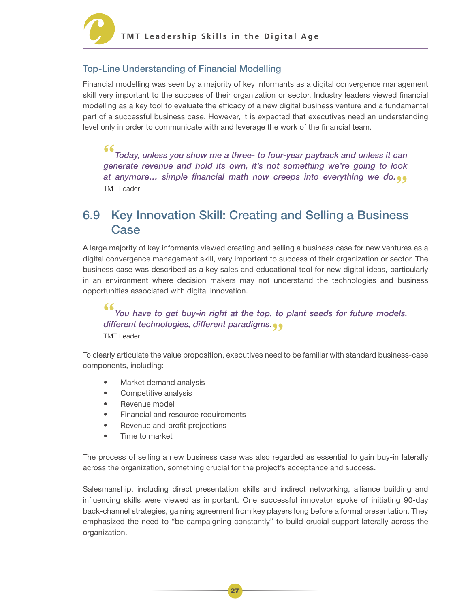

#### Top-Line Understanding of Financial Modelling

Financial modelling was seen by a majority of key informants as a digital convergence management skill very important to the success of their organization or sector. Industry leaders viewed financial modelling as a key tool to evaluate the efficacy of a new digital business venture and a fundamental part of a successful business case. However, it is expected that executives need an understanding level only in order to communicate with and leverage the work of the financial team.

**"** Today, unless you show me a three- to four-year payback and unless it can generate revenue and hold its own, it's not something we're going to look at anymore... simple financial math now creeps into everything we do.<sub>..</sub><br>TMT Leader TMT Leader

### 6.9 Key Innovation Skill: Creating and Selling a Business **Case**

A large majority of key informants viewed creating and selling a business case for new ventures as a digital convergence management skill, very important to success of their organization or sector. The business case was described as a key sales and educational tool for new digital ideas, particularly in an environment where decision makers may not understand the technologies and business opportunities associated with digital innovation.

## **66**<br>
You have to get buy-in right at the top, to<br>
different technologies, different paradigms. **(1)**<br>
TMT Leader You have to get buy-in right at the top, to plant seeds for future models,

TMT Leader

To clearly articulate the value proposition, executives need to be familiar with standard business-case components, including:

- Market demand analysis
- Competitive analysis
- Revenue model
- Financial and resource requirements
- Revenue and profit projections
- Time to market

The process of selling a new business case was also regarded as essential to gain buy-in laterally across the organization, something crucial for the project's acceptance and success.

Salesmanship, including direct presentation skills and indirect networking, alliance building and influencing skills were viewed as important. One successful innovator spoke of initiating 90-day back-channel strategies, gaining agreement from key players long before a formal presentation. They emphasized the need to "be campaigning constantly" to build crucial support laterally across the organization.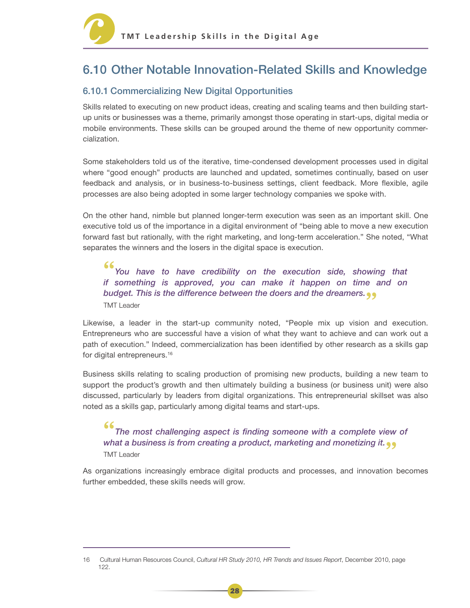

### 6.10 Other Notable Innovation-Related Skills and Knowledge

#### 6.10.1 Commercializing New Digital Opportunities

Skills related to executing on new product ideas, creating and scaling teams and then building startup units or businesses was a theme, primarily amongst those operating in start-ups, digital media or mobile environments. These skills can be grouped around the theme of new opportunity commercialization.

Some stakeholders told us of the iterative, time-condensed development processes used in digital where "good enough" products are launched and updated, sometimes continually, based on user feedback and analysis, or in business-to-business settings, client feedback. More flexible, agile processes are also being adopted in some larger technology companies we spoke with.

On the other hand, nimble but planned longer-term execution was seen as an important skill. One executive told us of the importance in a digital environment of "being able to move a new execution forward fast but rationally, with the right marketing, and long-term acceleration." She noted, "What separates the winners and the losers in the digital space is execution.

**"** You have to have credibility on the execution side, showing that if something is approved, you can make it happen on time and on **budget. This is the difference between the doers and the dreamers.<sub>.</sub><br>TMT Leader** TMT Leader

Likewise, a leader in the start-up community noted, "People mix up vision and execution. Entrepreneurs who are successful have a vision of what they want to achieve and can work out a path of execution." Indeed, commercialization has been identified by other research as a skills gap for digital entrepreneurs.16

Business skills relating to scaling production of promising new products, building a new team to support the product's growth and then ultimately building a business (or business unit) were also discussed, particularly by leaders from digital organizations. This entrepreneurial skillset was also noted as a skills gap, particularly among digital teams and start-ups.

#### **"** The most challenging aspect is finding someone with a complete view of what a business is from creating a product, marketing and monetizing it.<sub>...</sub><br>TMT Leader TMT Leader

As organizations increasingly embrace digital products and processes, and innovation becomes further embedded, these skills needs will grow.

<sup>16</sup> Cultural Human Resources Council, Cultural HR Study 2010, HR Trends and Issues Report, December 2010, page 122.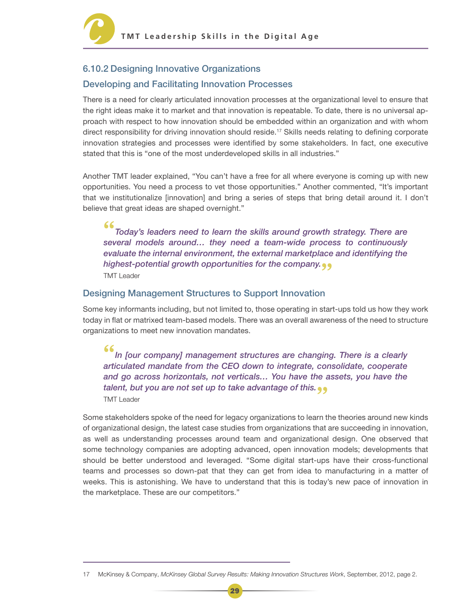

#### 6.10.2 Designing Innovative Organizations

#### Developing and Facilitating Innovation Processes

There is a need for clearly articulated innovation processes at the organizational level to ensure that the right ideas make it to market and that innovation is repeatable. To date, there is no universal approach with respect to how innovation should be embedded within an organization and with whom direct responsibility for driving innovation should reside.<sup>17</sup> Skills needs relating to defining corporate innovation strategies and processes were identified by some stakeholders. In fact, one executive stated that this is "one of the most underdeveloped skills in all industries."

Another TMT leader explained, "You can't have a free for all where everyone is coming up with new opportunities. You need a process to vet those opportunities." Another commented, "It's important that we institutionalize [innovation] and bring a series of steps that bring detail around it. I don't believe that great ideas are shaped overnight."

**(6**<br> **Today's leaders need to learn the skills around growth strategy. There are<br>
several models around... they need a team-wide process to continuously** Today's leaders need to learn the skills around growth strategy. There are evaluate the internal environment, the external marketplace and identifying the highest-potential growth opportunities for the company. **"** TMT Leader

#### Designing Management Structures to Support Innovation

Some key informants including, but not limited to, those operating in start-ups told us how they work today in flat or matrixed team-based models. There was an overall awareness of the need to structure organizations to meet new innovation mandates.

**"**In [our company] management structures are changing. There is a clearly articulated mandate from the CEO down to integrate, consolidate, cooperate and go across horizontals, not verticals… You have the assets, you have the talent, but you are not set up to take advantage of this. **"**TMT Leader

Some stakeholders spoke of the need for legacy organizations to learn the theories around new kinds of organizational design, the latest case studies from organizations that are succeeding in innovation, as well as understanding processes around team and organizational design. One observed that some technology companies are adopting advanced, open innovation models; developments that should be better understood and leveraged. "Some digital start-ups have their cross-functional teams and processes so down-pat that they can get from idea to manufacturing in a matter of weeks. This is astonishing. We have to understand that this is today's new pace of innovation in the marketplace. These are our competitors."

<sup>17</sup> McKinsey & Company, McKinsey Global Survey Results: Making Innovation Structures Work, September, 2012, page 2.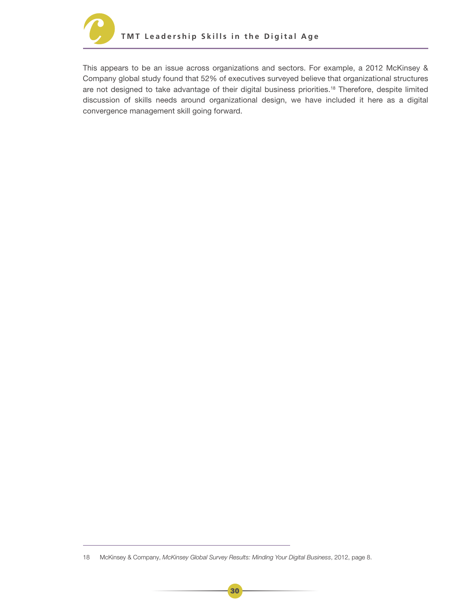

This appears to be an issue across organizations and sectors. For example, a 2012 McKinsey & Company global study found that 52% of executives surveyed believe that organizational structures are not designed to take advantage of their digital business priorities.<sup>18</sup> Therefore, despite limited discussion of skills needs around organizational design, we have included it here as a digital convergence management skill going forward.

<sup>18</sup> McKinsey & Company, McKinsey Global Survey Results: Minding Your Digital Business, 2012, page 8.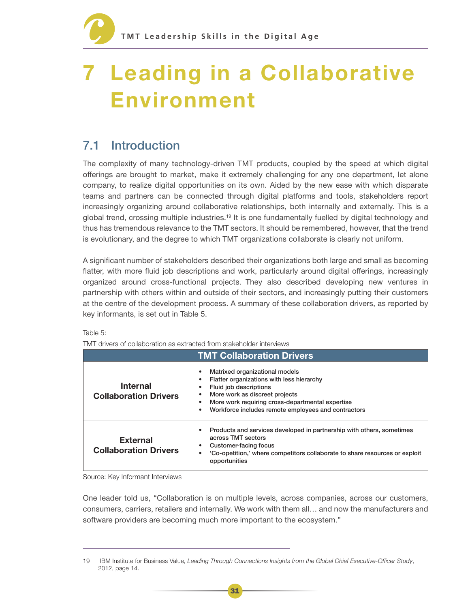## 7 Leading in a Collaborative Environment

## 7.1 Introduction

The complexity of many technology-driven TMT products, coupled by the speed at which digital offerings are brought to market, make it extremely challenging for any one department, let alone company, to realize digital opportunities on its own. Aided by the new ease with which disparate teams and partners can be connected through digital platforms and tools, stakeholders report increasingly organizing around collaborative relationships, both internally and externally. This is a global trend, crossing multiple industries.19 It is one fundamentally fuelled by digital technology and thus has tremendous relevance to the TMT sectors. It should be remembered, however, that the trend is evolutionary, and the degree to which TMT organizations collaborate is clearly not uniform.

A significant number of stakeholders described their organizations both large and small as becoming flatter, with more fluid job descriptions and work, particularly around digital offerings, increasingly organized around cross-functional projects. They also described developing new ventures in partnership with others within and outside of their sectors, and increasingly putting their customers at the centre of the development process. A summary of these collaboration drivers, as reported by key informants, is set out in Table 5.

| TIVIT UNVERS OF COMADORATION AS EXTRAGIED ITOM I STAKEHOLOGI THEIVIEWS |                                                                                                                                                                                                                                                                                          |  |
|------------------------------------------------------------------------|------------------------------------------------------------------------------------------------------------------------------------------------------------------------------------------------------------------------------------------------------------------------------------------|--|
| <b>TMT Collaboration Drivers</b>                                       |                                                                                                                                                                                                                                                                                          |  |
| <b>Internal</b><br><b>Collaboration Drivers</b>                        | Matrixed organizational models<br>٠<br>Flatter organizations with less hierarchy<br>٠<br>Fluid job descriptions<br>٠<br>More work as discreet projects<br>٠<br>More work requiring cross-departmental expertise<br>٠<br>Workforce includes remote employees and contractors<br>$\bullet$ |  |
| <b>External</b><br><b>Collaboration Drivers</b>                        | Products and services developed in partnership with others, sometimes<br>$\bullet$<br>across TMT sectors<br>Customer-facing focus<br>'Co-opetition,' where competitors collaborate to share resources or exploit<br>٠<br>opportunities                                                   |  |

Table 5:

TMT drivers of collaboration as extracted from stakeholder interviews

Source: Key Informant Interviews

One leader told us, "Collaboration is on multiple levels, across companies, across our customers, consumers, carriers, retailers and internally. We work with them all… and now the manufacturers and software providers are becoming much more important to the ecosystem."

<sup>19</sup> IBM Institute for Business Value, Leading Through Connections Insights from the Global Chief Executive-Officer Study, 2012, page 14.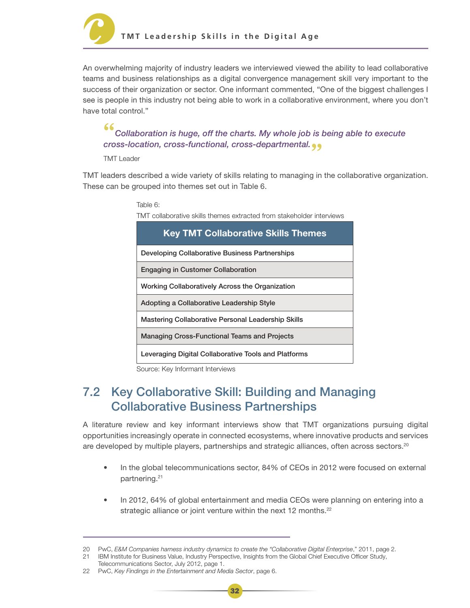

An overwhelming majority of industry leaders we interviewed viewed the ability to lead collaborative teams and business relationships as a digital convergence management skill very important to the success of their organization or sector. One informant commented, "One of the biggest challenges I see is people in this industry not being able to work in a collaborative environment, where you don't have total control."

## **"**Collaboration is huge, off the charts. My whole job is being able to execute cross-location, cross-functional, cross-departmental. **"**

#### TMT Leader

TMT leaders described a wide variety of skills relating to managing in the collaborative organization. These can be grouped into themes set out in Table 6.

Table 6:

TMT collaborative skills themes extracted from stakeholder interviews

| <b>Key TMT Collaborative Skills Themes</b>           |
|------------------------------------------------------|
| Developing Collaborative Business Partnerships       |
| <b>Engaging in Customer Collaboration</b>            |
| Working Collaboratively Across the Organization      |
| Adopting a Collaborative Leadership Style            |
| Mastering Collaborative Personal Leadership Skills   |
| <b>Managing Cross-Functional Teams and Projects</b>  |
| Leveraging Digital Collaborative Tools and Platforms |

Source: Key Informant Interviews

## 7.2 Key Collaborative Skill: Building and Managing Collaborative Business Partnerships

A literature review and key informant interviews show that TMT organizations pursuing digital opportunities increasingly operate in connected ecosystems, where innovative products and services are developed by multiple players, partnerships and strategic alliances, often across sectors.<sup>20</sup>

- In the global telecommunications sector, 84% of CEOs in 2012 were focused on external partnering.21
- In 2012, 64% of global entertainment and media CEOs were planning on entering into a strategic alliance or joint venture within the next 12 months.<sup>22</sup>

<sup>20</sup> PwC, E&M Companies harness industry dynamics to create the "Collaborative Digital Enterprise," 2011, page 2.

<sup>21</sup> IBM Institute for Business Value, Industry Perspective, Insights from the Global Chief Executive Officer Study, Telecommunications Sector, July 2012, page 1.

<sup>22</sup> PwC, Key Findings in the Entertainment and Media Sector, page 6.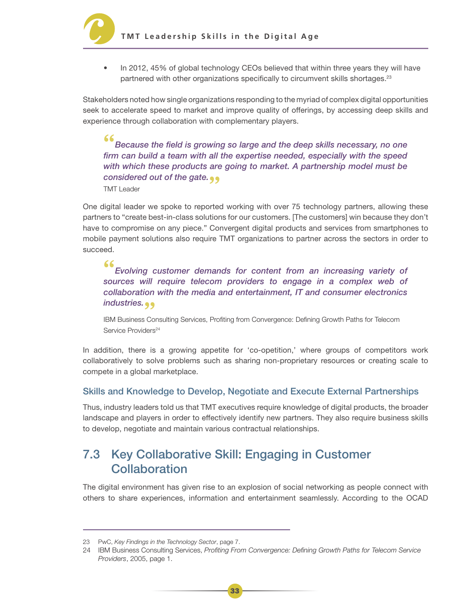

In 2012, 45% of global technology CEOs believed that within three years they will have partnered with other organizations specifically to circumvent skills shortages.<sup>23</sup>

Stakeholders noted how single organizations responding to the myriad of complex digital opportunities seek to accelerate speed to market and improve quality of offerings, by accessing deep skills and experience through collaboration with complementary players.

**66**<br>Because the field is growing so large and the deep skills necessary, no one<br>firm can build a team with all the expertise needed, especially with the speed Because the field is growing so large and the deep skills necessary, no one with which these products are going to market. A partnership model must be **considered out of the gate.**  $\bullet$ <br>TMT Leader

TMT Leader

One digital leader we spoke to reported working with over 75 technology partners, allowing these partners to "create best-in-class solutions for our customers. [The customers] win because they don't have to compromise on any piece." Convergent digital products and services from smartphones to mobile payment solutions also require TMT organizations to partner across the sectors in order to succeed.

**"** Evolving customer demands for content from an increasing variety of sources will require telecom providers to engage in a complex web of collaboration with the media and entertainment, IT and consumer electronics industries.  $\bullet \bullet$ 

IBM Business Consulting Services, Profiting from Convergence: Defining Growth Paths for Telecom Service Providers<sup>24</sup>

In addition, there is a growing appetite for 'co-opetition,' where groups of competitors work collaboratively to solve problems such as sharing non-proprietary resources or creating scale to compete in a global marketplace.

#### Skills and Knowledge to Develop, Negotiate and Execute External Partnerships

Thus, industry leaders told us that TMT executives require knowledge of digital products, the broader landscape and players in order to effectively identify new partners. They also require business skills to develop, negotiate and maintain various contractual relationships.

## 7.3 Key Collaborative Skill: Engaging in Customer **Collaboration**

The digital environment has given rise to an explosion of social networking as people connect with others to share experiences, information and entertainment seamlessly. According to the OCAD

<sup>23</sup> PwC, Key Findings in the Technology Sector, page 7.

<sup>24</sup> IBM Business Consulting Services, Profiting From Convergence: Defining Growth Paths for Telecom Service Providers, 2005, page 1.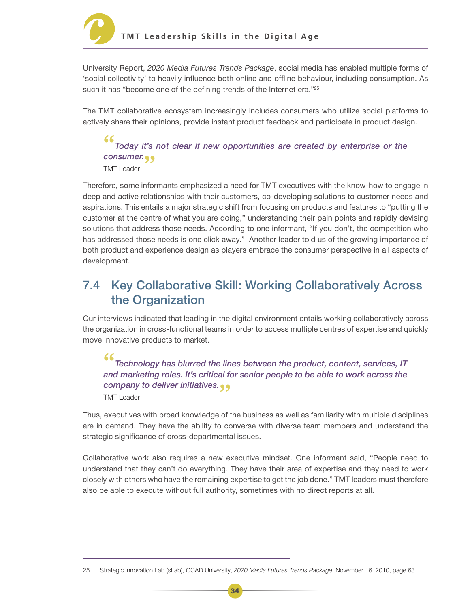

University Report, 2020 Media Futures Trends Package, social media has enabled multiple forms of 'social collectivity' to heavily influence both online and offline behaviour, including consumption. As such it has "become one of the defining trends of the Internet era."<sup>25</sup>

The TMT collaborative ecosystem increasingly includes consumers who utilize social platforms to actively share their opinions, provide instant product feedback and participate in product design.

**"** consumer. **"** Today it's not clear if new opportunities are created by enterprise or the TMT Leader

Therefore, some informants emphasized a need for TMT executives with the know-how to engage in deep and active relationships with their customers, co-developing solutions to customer needs and aspirations. This entails a major strategic shift from focusing on products and features to "putting the customer at the centre of what you are doing," understanding their pain points and rapidly devising solutions that address those needs. According to one informant, "If you don't, the competition who has addressed those needs is one click away." Another leader told us of the growing importance of both product and experience design as players embrace the consumer perspective in all aspects of development.

### 7.4 Key Collaborative Skill: Working Collaboratively Across the Organization

Our interviews indicated that leading in the digital environment entails working collaboratively across the organization in cross-functional teams in order to access multiple centres of expertise and quickly move innovative products to market.

## **66**<br>
Technology has blurred the lines between the product, content, services, IT<br>
and marketing roles. It's critical for senior people to be able to work across the Technology has blurred the lines between the product, content, services, IT **company to deliver initiatives. • •**<br>TMT Leader

TMT Leader

Thus, executives with broad knowledge of the business as well as familiarity with multiple disciplines are in demand. They have the ability to converse with diverse team members and understand the strategic significance of cross-departmental issues.

Collaborative work also requires a new executive mindset. One informant said, "People need to understand that they can't do everything. They have their area of expertise and they need to work closely with others who have the remaining expertise to get the job done." TMT leaders must therefore also be able to execute without full authority, sometimes with no direct reports at all.

<sup>25</sup> Strategic Innovation Lab (sLab), OCAD University, 2020 Media Futures Trends Package, November 16, 2010, page 63.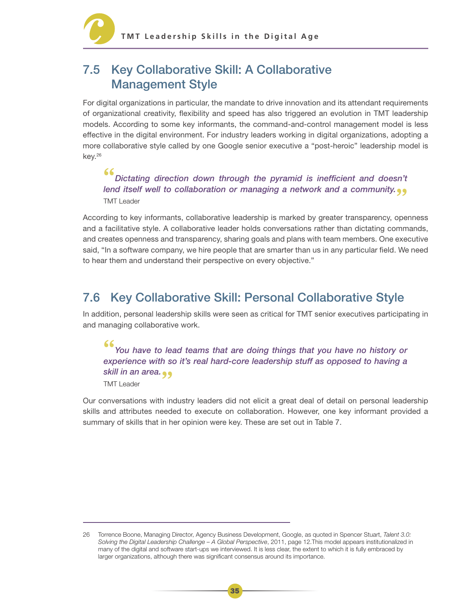## 7.5 Key Collaborative Skill: A Collaborative Management Style

For digital organizations in particular, the mandate to drive innovation and its attendant requirements of organizational creativity, flexibility and speed has also triggered an evolution in TMT leadership models. According to some key informants, the command-and-control management model is less effective in the digital environment. For industry leaders working in digital organizations, adopting a more collaborative style called by one Google senior executive a "post-heroic" leadership model is key.26

**66** Dictating direction down through the pyramid is inefficient and doesn't lend itself well to collaboration or managing a network and a community. **99** Dictating direction down through the pyramid is inefficient and doesn't TMT Leader

According to key informants, collaborative leadership is marked by greater transparency, openness and a facilitative style. A collaborative leader holds conversations rather than dictating commands, and creates openness and transparency, sharing goals and plans with team members. One executive said, "In a software company, we hire people that are smarter than us in any particular field. We need to hear them and understand their perspective on every objective."

## 7.6 Key Collaborative Skill: Personal Collaborative Style

In addition, personal leadership skills were seen as critical for TMT senior executives participating in and managing collaborative work.

**"** You have to lead teams that are doing things that you have no history or experience with so it's real hard-core leadership stuff as opposed to having a skill in an area. **"**

TMT Leader

Our conversations with industry leaders did not elicit a great deal of detail on personal leadership skills and attributes needed to execute on collaboration. However, one key informant provided a summary of skills that in her opinion were key. These are set out in Table 7.

<sup>26</sup> Torrence Boone, Managing Director, Agency Business Development, Google, as quoted in Spencer Stuart, Talent 3.0: Solving the Digital Leadership Challenge – A Global Perspective, 2011, page 12.This model appears institutionalized in many of the digital and software start-ups we interviewed. It is less clear, the extent to which it is fully embraced by larger organizations, although there was significant consensus around its importance.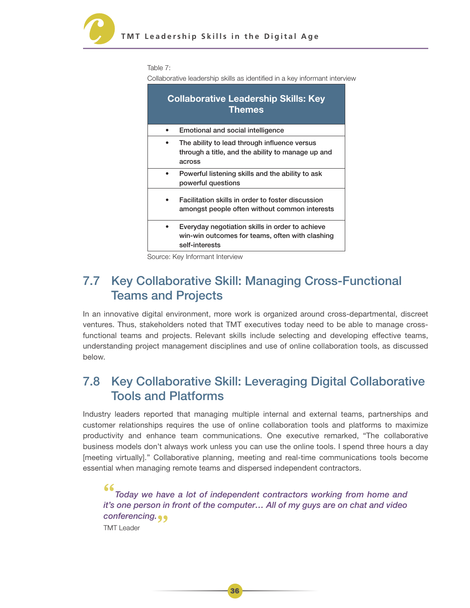Table 7:

Collaborative leadership skills as identified in a key informant interview

| <b>Collaborative Leadership Skills: Key</b><br><b>Themes</b> |                                                                                                                      |  |
|--------------------------------------------------------------|----------------------------------------------------------------------------------------------------------------------|--|
|                                                              | Emotional and social intelligence                                                                                    |  |
|                                                              | The ability to lead through influence versus<br>through a title, and the ability to manage up and<br>across          |  |
|                                                              | Powerful listening skills and the ability to ask<br>powerful questions                                               |  |
|                                                              | Facilitation skills in order to foster discussion<br>amongst people often without common interests                   |  |
|                                                              | Everyday negotiation skills in order to achieve<br>win-win outcomes for teams, often with clashing<br>self-interests |  |

Source: Key Informant Interview

## 7.7 Key Collaborative Skill: Managing Cross-Functional Teams and Projects

In an innovative digital environment, more work is organized around cross-departmental, discreet ventures. Thus, stakeholders noted that TMT executives today need to be able to manage crossfunctional teams and projects. Relevant skills include selecting and developing effective teams, understanding project management disciplines and use of online collaboration tools, as discussed below.

### 7.8 Key Collaborative Skill: Leveraging Digital Collaborative Tools and Platforms

Industry leaders reported that managing multiple internal and external teams, partnerships and customer relationships requires the use of online collaboration tools and platforms to maximize productivity and enhance team communications. One executive remarked, "The collaborative business models don't always work unless you can use the online tools. I spend three hours a day [meeting virtually]." Collaborative planning, meeting and real-time communications tools become essential when managing remote teams and dispersed independent contractors.

**(6**<br>
Today we have a lot of independent contractors working from home and<br>
it's one person in front of the computer... All of my guys are on chat and video Today we have a lot of independent contractors working from home and **conferencing. <sub>99</sub>**<br>TMT Leader TMT Leader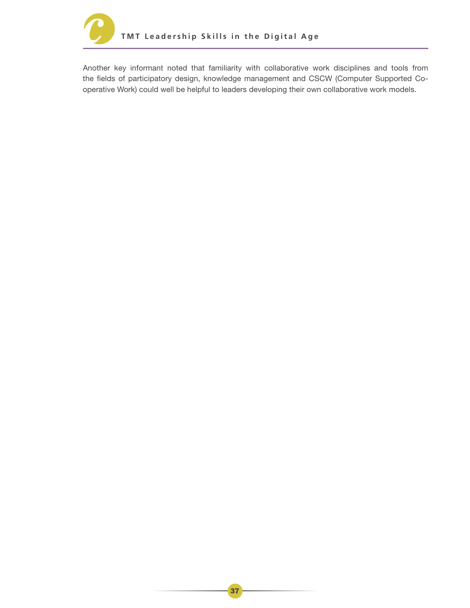

Another key informant noted that familiarity with collaborative work disciplines and tools from the fields of participatory design, knowledge management and CSCW (Computer Supported Cooperative Work) could well be helpful to leaders developing their own collaborative work models.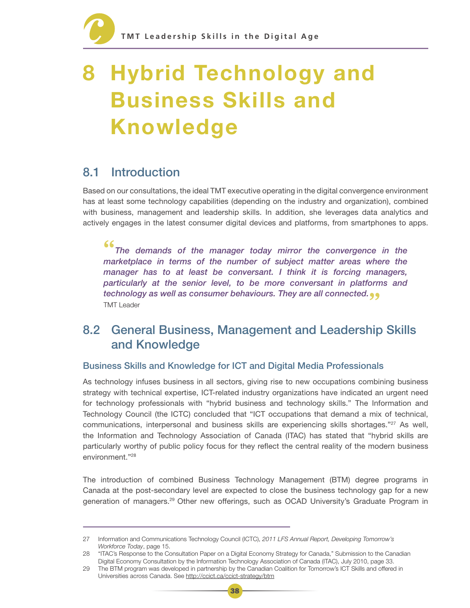## 8 Hybrid Technology and Business Skills and Knowledge

## 8.1 Introduction

Based on our consultations, the ideal TMT executive operating in the digital convergence environment has at least some technology capabilities (depending on the industry and organization), combined with business, management and leadership skills. In addition, she leverages data analytics and actively engages in the latest consumer digital devices and platforms, from smartphones to apps.

**The demands of the manager today mirror the convergence in the The demands of the manager today mirror the convergence in the<br>marketplace in terms of the number of subject matter areas where the** The demands of the manager today mirror the convergence in the manager has to at least be conversant. I think it is forcing managers, particularly at the senior level, to be more conversant in platforms and technology as well as consumer behaviours. They are all connected. **"**TMT Leader

### 8.2 General Business, Management and Leadership Skills and Knowledge

#### Business Skills and Knowledge for ICT and Digital Media Professionals

As technology infuses business in all sectors, giving rise to new occupations combining business strategy with technical expertise, ICT-related industry organizations have indicated an urgent need for technology professionals with "hybrid business and technology skills." The Information and Technology Council (the ICTC) concluded that "ICT occupations that demand a mix of technical, communications, interpersonal and business skills are experiencing skills shortages."<sup>27</sup> As well, the Information and Technology Association of Canada (ITAC) has stated that "hybrid skills are particularly worthy of public policy focus for they reflect the central reality of the modern business environment."28

The introduction of combined Business Technology Management (BTM) degree programs in Canada at the post-secondary level are expected to close the business technology gap for a new generation of managers.<sup>29</sup> Other new offerings, such as OCAD University's Graduate Program in

<sup>27</sup> Information and Communications Technology Council (ICTC), 2011 LFS Annual Report, Developing Tomorrow's Workforce Today, page 15.

<sup>28</sup> "ITAC's Response to the Consultation Paper on a Digital Economy Strategy for Canada," Submission to the Canadian Digital Economy Consultation by the Information Technology Association of Canada (ITAC), July 2010, page 33.

<sup>29</sup> The BTM program was developed in partnership by the Canadian Coalition for Tomorrow's ICT Skills and offered in Universities across Canada. See http://ccict.ca/ccict-strategy/btm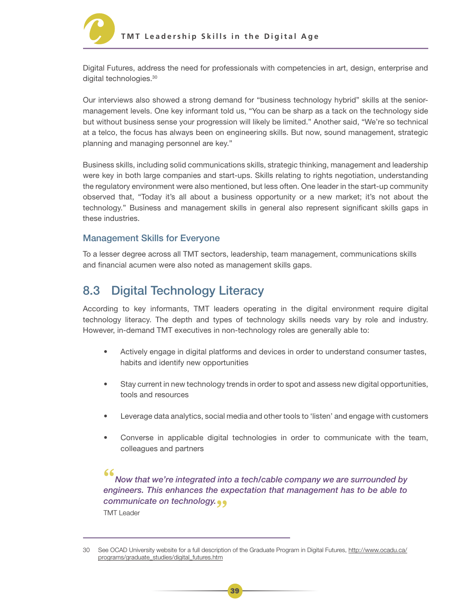

Digital Futures, address the need for professionals with competencies in art, design, enterprise and digital technologies.<sup>30</sup>

Our interviews also showed a strong demand for "business technology hybrid" skills at the seniormanagement levels. One key informant told us, "You can be sharp as a tack on the technology side but without business sense your progression will likely be limited." Another said, "We're so technical at a telco, the focus has always been on engineering skills. But now, sound management, strategic planning and managing personnel are key."

Business skills, including solid communications skills, strategic thinking, management and leadership were key in both large companies and start-ups. Skills relating to rights negotiation, understanding the regulatory environment were also mentioned, but less often. One leader in the start-up community observed that, "Today it's all about a business opportunity or a new market; it's not about the technology." Business and management skills in general also represent significant skills gaps in these industries.

#### Management Skills for Everyone

To a lesser degree across all TMT sectors, leadership, team management, communications skills and financial acumen were also noted as management skills gaps.

### 8.3 Digital Technology Literacy

According to key informants, TMT leaders operating in the digital environment require digital technology literacy. The depth and types of technology skills needs vary by role and industry. However, in-demand TMT executives in non-technology roles are generally able to:

- Actively engage in digital platforms and devices in order to understand consumer tastes, habits and identify new opportunities
- Stay current in new technology trends in order to spot and assess new digital opportunities, tools and resources
- Leverage data analytics, social media and other tools to 'listen' and engage with customers
- Converse in applicable digital technologies in order to communicate with the team, colleagues and partners

**"**Now that we're integrated into a tech/cable company we are surrounded by engineers. This enhances the expectation that management has to be able to **communicate on technology. ••**<br>TMT Leader TMT Leader

<sup>30</sup> See OCAD University website for a full description of the Graduate Program in Digital Futures, http://www.ocadu.ca/ programs/graduate\_studies/digital\_futures.htm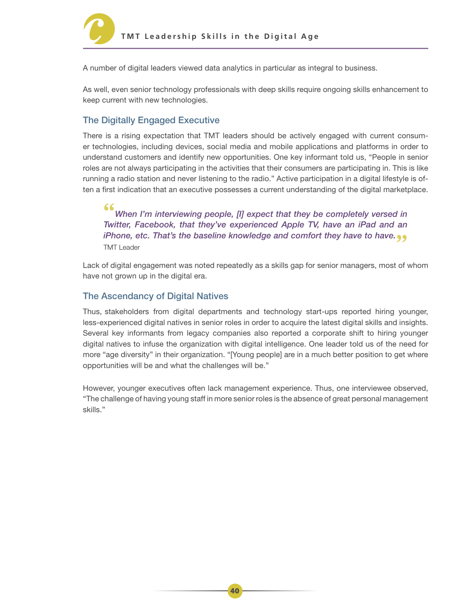

A number of digital leaders viewed data analytics in particular as integral to business.

As well, even senior technology professionals with deep skills require ongoing skills enhancement to keep current with new technologies.

#### The Digitally Engaged Executive

There is a rising expectation that TMT leaders should be actively engaged with current consumer technologies, including devices, social media and mobile applications and platforms in order to understand customers and identify new opportunities. One key informant told us, "People in senior roles are not always participating in the activities that their consumers are participating in. This is like running a radio station and never listening to the radio." Active participation in a digital lifestyle is often a first indication that an executive possesses a current understanding of the digital marketplace.

**"**When I'm interviewing people, [I] expect that they be completely versed in Twitter, Facebook, that they've experienced Apple TV, have an iPad and an iPhone, etc. That's the baseline knowledge and comfort they have to have. **"**TMT Leader

Lack of digital engagement was noted repeatedly as a skills gap for senior managers, most of whom have not grown up in the digital era.

#### The Ascendancy of Digital Natives

Thus, stakeholders from digital departments and technology start-ups reported hiring younger, less-experienced digital natives in senior roles in order to acquire the latest digital skills and insights. Several key informants from legacy companies also reported a corporate shift to hiring younger digital natives to infuse the organization with digital intelligence. One leader told us of the need for more "age diversity" in their organization. "[Young people] are in a much better position to get where opportunities will be and what the challenges will be."

However, younger executives often lack management experience. Thus, one interviewee observed, "The challenge of having young staff in more senior roles is the absence of great personal management skills."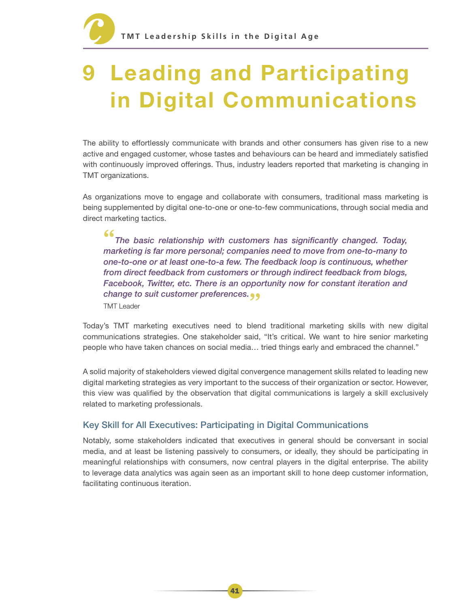## **Leading and Participating** in Digital Communications

The ability to effortlessly communicate with brands and other consumers has given rise to a new active and engaged customer, whose tastes and behaviours can be heard and immediately satisfied with continuously improved offerings. Thus, industry leaders reported that marketing is changing in TMT organizations.

As organizations move to engage and collaborate with consumers, traditional mass marketing is being supplemented by digital one-to-one or one-to-few communications, through social media and direct marketing tactics.

**"** The basic relationship with customers has significantly changed. Today, marketing is far more personal; companies need to move from one-to-many to one-to-one or at least one-to-a few. The feedback loop is continuous, whether from direct feedback from customers or through indirect feedback from blogs, Facebook, Twitter, etc. There is an opportunity now for constant iteration and **change to suit customer preferences.**  $\bullet$  $\bullet$ <br>TMT Leader TMT Leader

Today's TMT marketing executives need to blend traditional marketing skills with new digital communications strategies. One stakeholder said, "It's critical. We want to hire senior marketing people who have taken chances on social media… tried things early and embraced the channel."

A solid majority of stakeholders viewed digital convergence management skills related to leading new digital marketing strategies as very important to the success of their organization or sector. However, this view was qualified by the observation that digital communications is largely a skill exclusively related to marketing professionals.

#### Key Skill for All Executives: Participating in Digital Communications

Notably, some stakeholders indicated that executives in general should be conversant in social media, and at least be listening passively to consumers, or ideally, they should be participating in meaningful relationships with consumers, now central players in the digital enterprise. The ability to leverage data analytics was again seen as an important skill to hone deep customer information, facilitating continuous iteration.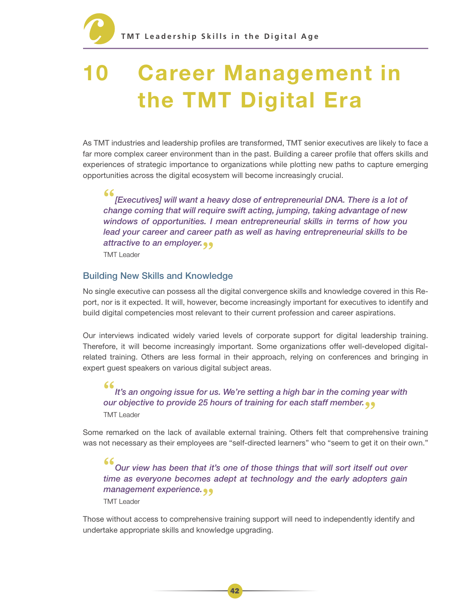## **Career Management in** the TMT Digital Era

As TMT industries and leadership profiles are transformed, TMT senior executives are likely to face a far more complex career environment than in the past. Building a career profile that offers skills and experiences of strategic importance to organizations while plotting new paths to capture emerging opportunities across the digital ecosystem will become increasingly crucial.

**"**[Executives] will want a heavy dose of entrepreneurial DNA. There is a lot of change coming that will require swift acting, jumping, taking advantage of new windows of opportunities. I mean entrepreneurial skills in terms of how you lead your career and career path as well as having entrepreneurial skills to be **attractive to an employer. •••**<br>TMT Leader TMT Leader

#### Building New Skills and Knowledge

No single executive can possess all the digital convergence skills and knowledge covered in this Report, nor is it expected. It will, however, become increasingly important for executives to identify and build digital competencies most relevant to their current profession and career aspirations.

Our interviews indicated widely varied levels of corporate support for digital leadership training. Therefore, it will become increasingly important. Some organizations offer well-developed digitalrelated training. Others are less formal in their approach, relying on conferences and bringing in expert guest speakers on various digital subject areas.

## **66**<br>
It's an ongoing issue for us. We're setting a high bar in the coming y<br>
our objective to provide 25 hours of training for each staff member.<br>
TMT Leader It's an ongoing issue for us. We're setting a high bar in the coming year with TMT Leader

Some remarked on the lack of available external training. Others felt that comprehensive training was not necessary as their employees are "self-directed learners" who "seem to get it on their own."

**"**Our view has been that it's one of those things that will sort itself out over time as everyone becomes adept at technology and the early adopters gain management experience.<sub>..</sub><br>TMT Leader

TMT Leader

Those without access to comprehensive training support will need to independently identify and undertake appropriate skills and knowledge upgrading.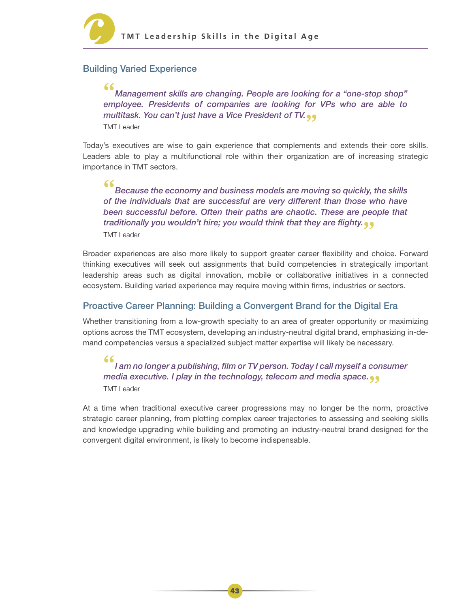

#### Building Varied Experience

**46**<br>
Management skills are changing. People are looking for a "one-stop shop"<br>
employee. Presidents of companies are looking for VPs who are able to Management skills are changing. People are looking for a "one-stop shop" multitask. You can't just have a Vice President of TV. **"** TMT Leader

Today's executives are wise to gain experience that complements and extends their core skills. Leaders able to play a multifunctional role within their organization are of increasing strategic importance in TMT sectors.

**"** Because the economy and business models are moving so quickly, the skills of the individuals that are successful are very different than those who have been successful before. Often their paths are chaotic. These are people that traditionally you wouldn't hire; you would think that they are flighty. **"** TMT Leader

Broader experiences are also more likely to support greater career flexibility and choice. Forward thinking executives will seek out assignments that build competencies in strategically important leadership areas such as digital innovation, mobile or collaborative initiatives in a connected ecosystem. Building varied experience may require moving within firms, industries or sectors.

#### Proactive Career Planning: Building a Convergent Brand for the Digital Era

Whether transitioning from a low-growth specialty to an area of greater opportunity or maximizing options across the TMT ecosystem, developing an industry-neutral digital brand, emphasizing in-demand competencies versus a specialized subject matter expertise will likely be necessary.

## **(6**<br>
I am no longer a publishing, film or TV person. Today I call myself a cor<br>
media executive. I play in the technology, telecom and media space.<br>
TMT Leader I am no longer a publishing, film or TV person. Today I call myself a consumer TMT Leader

At a time when traditional executive career progressions may no longer be the norm, proactive strategic career planning, from plotting complex career trajectories to assessing and seeking skills and knowledge upgrading while building and promoting an industry-neutral brand designed for the convergent digital environment, is likely to become indispensable.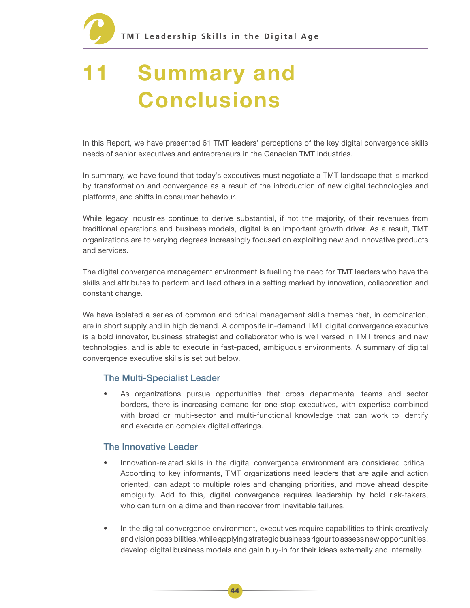## **Summary and Conclusions**

In this Report, we have presented 61 TMT leaders' perceptions of the key digital convergence skills needs of senior executives and entrepreneurs in the Canadian TMT industries.

In summary, we have found that today's executives must negotiate a TMT landscape that is marked by transformation and convergence as a result of the introduction of new digital technologies and platforms, and shifts in consumer behaviour.

While legacy industries continue to derive substantial, if not the majority, of their revenues from traditional operations and business models, digital is an important growth driver. As a result, TMT organizations are to varying degrees increasingly focused on exploiting new and innovative products and services.

The digital convergence management environment is fuelling the need for TMT leaders who have the skills and attributes to perform and lead others in a setting marked by innovation, collaboration and constant change.

We have isolated a series of common and critical management skills themes that, in combination, are in short supply and in high demand. A composite in-demand TMT digital convergence executive is a bold innovator, business strategist and collaborator who is well versed in TMT trends and new technologies, and is able to execute in fast-paced, ambiguous environments. A summary of digital convergence executive skills is set out below.

#### The Multi-Specialist Leader

As organizations pursue opportunities that cross departmental teams and sector borders, there is increasing demand for one-stop executives, with expertise combined with broad or multi-sector and multi-functional knowledge that can work to identify and execute on complex digital offerings.

#### The Innovative Leader

- Innovation-related skills in the digital convergence environment are considered critical. According to key informants, TMT organizations need leaders that are agile and action oriented, can adapt to multiple roles and changing priorities, and move ahead despite ambiguity. Add to this, digital convergence requires leadership by bold risk-takers, who can turn on a dime and then recover from inevitable failures.
- In the digital convergence environment, executives require capabilities to think creatively and vision possibilities, while applying strategic business rigour to assess new opportunities, develop digital business models and gain buy-in for their ideas externally and internally.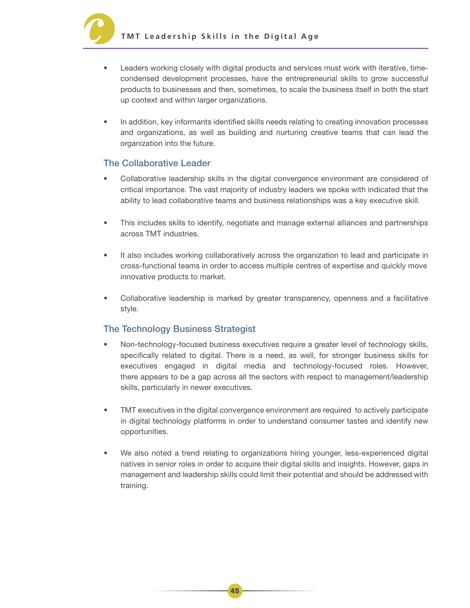

- Leaders working closely with digital products and services must work with iterative, time condensed development processes, have the entrepreneurial skills to grow successful products to businesses and then, sometimes, to scale the business itself in both the start up context and within larger organizations.
- In addition, key informants identified skills needs relating to creating innovation processes and organizations, as well as building and nurturing creative teams that can lead the organization into the future.

#### The Collaborative Leader

- Collaborative leadership skills in the digital convergence environment are considered of critical importance. The vast majority of industry leaders we spoke with indicated that the ability to lead collaborative teams and business relationships was a key executive skill.
- This includes skills to identify, negotiate and manage external alliances and partnerships across TMT industries.
- It also includes working collaboratively across the organization to lead and participate in cross-functional teams in order to access multiple centres of expertise and quickly move innovative products to market.
- Collaborative leadership is marked by greater transparency, openness and a facilitative style.

#### The Technology Business Strategist

- Non-technology-focused business executives require a greater level of technology skills, specifically related to digital. There is a need, as well, for stronger business skills for executives engaged in digital media and technology-focused roles. However, there appears to be a gap across all the sectors with respect to management/leadership skills, particularly in newer executives.
- TMT executives in the digital convergence environment are required to actively participate in digital technology platforms in order to understand consumer tastes and identify new opportunities.
- We also noted a trend relating to organizations hiring younger, less-experienced digital natives in senior roles in order to acquire their digital skills and insights. However, gaps in management and leadership skills could limit their potential and should be addressed with training.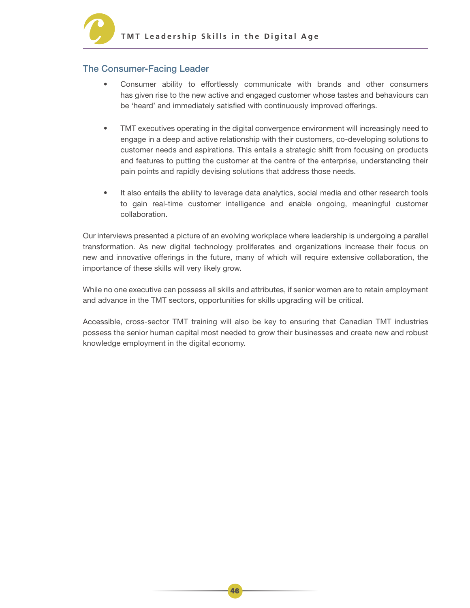

#### The Consumer-Facing Leader

- Consumer ability to effortlessly communicate with brands and other consumers has given rise to the new active and engaged customer whose tastes and behaviours can be 'heard' and immediately satisfied with continuously improved offerings.
- TMT executives operating in the digital convergence environment will increasingly need to engage in a deep and active relationship with their customers, co-developing solutions to customer needs and aspirations. This entails a strategic shift from focusing on products and features to putting the customer at the centre of the enterprise, understanding their pain points and rapidly devising solutions that address those needs.
- It also entails the ability to leverage data analytics, social media and other research tools to gain real-time customer intelligence and enable ongoing, meaningful customer collaboration.

Our interviews presented a picture of an evolving workplace where leadership is undergoing a parallel transformation. As new digital technology proliferates and organizations increase their focus on new and innovative offerings in the future, many of which will require extensive collaboration, the importance of these skills will very likely grow.

While no one executive can possess all skills and attributes, if senior women are to retain employment and advance in the TMT sectors, opportunities for skills upgrading will be critical.

Accessible, cross-sector TMT training will also be key to ensuring that Canadian TMT industries possess the senior human capital most needed to grow their businesses and create new and robust knowledge employment in the digital economy.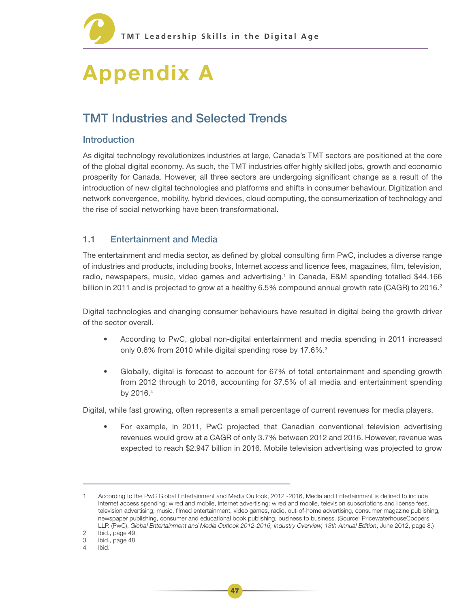

## Appendix A

## TMT Industries and Selected Trends

#### Introduction

As digital technology revolutionizes industries at large, Canada's TMT sectors are positioned at the core of the global digital economy. As such, the TMT industries offer highly skilled jobs, growth and economic prosperity for Canada. However, all three sectors are undergoing significant change as a result of the introduction of new digital technologies and platforms and shifts in consumer behaviour. Digitization and network convergence, mobility, hybrid devices, cloud computing, the consumerization of technology and the rise of social networking have been transformational.

#### 1.1 Entertainment and Media

The entertainment and media sector, as defined by global consulting firm PwC, includes a diverse range of industries and products, including books, Internet access and licence fees, magazines, film, television, radio, newspapers, music, video games and advertising.<sup>1</sup> In Canada, E&M spending totalled \$44.166 billion in 2011 and is projected to grow at a healthy 6.5% compound annual growth rate (CAGR) to 2016.<sup>2</sup>

Digital technologies and changing consumer behaviours have resulted in digital being the growth driver of the sector overall.

- According to PwC, global non-digital entertainment and media spending in 2011 increased only 0.6% from 2010 while digital spending rose by 17.6%.<sup>3</sup>
- Globally, digital is forecast to account for 67% of total entertainment and spending growth from 2012 through to 2016, accounting for 37.5% of all media and entertainment spending by 2016.<sup>4</sup>

Digital, while fast growing, often represents a small percentage of current revenues for media players.

For example, in 2011, PwC projected that Canadian conventional television advertising revenues would grow at a CAGR of only 3.7% between 2012 and 2016. However, revenue was expected to reach \$2.947 billion in 2016. Mobile television advertising was projected to grow

<sup>1</sup> According to the PwC Global Entertainment and Media Outlook, 2012 -2016, Media and Entertainment is defined to include Internet access spending: wired and mobile, internet advertising: wired and mobile, television subscriptions and license fees, television advertising, music, filmed entertainment, video games, radio, out-of-home advertising, consumer magazine publishing, newspaper publishing, consumer and educational book publishing, business to business. (Source: PricewaterhouseCoopers LLP. (PwC), Global Entertainment and Media Outlook 2012-2016, Industry Overview, 13th Annual Edition, June 2012, page 8.)

<sup>2</sup> Ibid., page 49.

<sup>3</sup> Ibid., page 48.

<sup>4</sup> Ibid.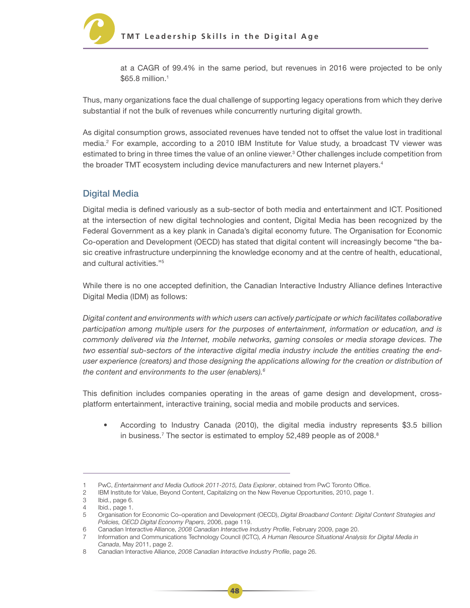

 at a CAGR of 99.4% in the same period, but revenues in 2016 were projected to be only \$65.8 million.1

Thus, many organizations face the dual challenge of supporting legacy operations from which they derive substantial if not the bulk of revenues while concurrently nurturing digital growth.

As digital consumption grows, associated revenues have tended not to offset the value lost in traditional media.2 For example, according to a 2010 IBM Institute for Value study, a broadcast TV viewer was estimated to bring in three times the value of an online viewer.<sup>3</sup> Other challenges include competition from the broader TMT ecosystem including device manufacturers and new Internet players.<sup>4</sup>

#### Digital Media

Digital media is defined variously as a sub-sector of both media and entertainment and ICT. Positioned at the intersection of new digital technologies and content, Digital Media has been recognized by the Federal Government as a key plank in Canada's digital economy future. The Organisation for Economic Co-operation and Development (OECD) has stated that digital content will increasingly become "the basic creative infrastructure underpinning the knowledge economy and at the centre of health, educational, and cultural activities."5

While there is no one accepted definition, the Canadian Interactive Industry Alliance defines Interactive Digital Media (IDM) as follows:

Digital content and environments with which users can actively participate or which facilitates collaborative participation among multiple users for the purposes of entertainment, information or education, and is commonly delivered via the Internet, mobile networks, gaming consoles or media storage devices. The two essential sub-sectors of the interactive digital media industry include the entities creating the enduser experience (creators) and those designing the applications allowing for the creation or distribution of the content and environments to the user (enablers). $6$ 

This definition includes companies operating in the areas of game design and development, crossplatform entertainment, interactive training, social media and mobile products and services.

According to Industry Canada (2010), the digital media industry represents  $$3.5$  billion in business.<sup>7</sup> The sector is estimated to employ 52,489 people as of 2008.<sup>8</sup>

<sup>1</sup> PwC, Entertainment and Media Outlook 2011-2015, Data Explorer, obtained from PwC Toronto Office.

<sup>2</sup> IBM Institute for Value, Beyond Content, Capitalizing on the New Revenue Opportunities, 2010, page 1.

<sup>3</sup> Ibid., page 6.

<sup>4</sup> Ibid., page 1.

<sup>5</sup> Organisation for Economic Co–operation and Development (OECD), Digital Broadband Content: Digital Content Strategies and Policies, OECD Digital Economy Papers, 2006, page 119.

<sup>6</sup> Canadian Interactive Alliance, 2008 Canadian Interactive Industry Profile, February 2009, page 20.

<sup>7</sup> Information and Communications Technology Council (ICTC), A Human Resource Situational Analysis for Digital Media in Canada, May 2011, page 2.

<sup>8</sup> Canadian Interactive Alliance, 2008 Canadian Interactive Industry Profile, page 26.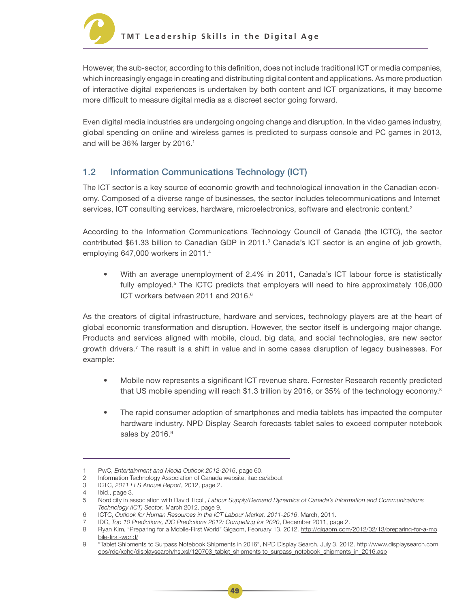

However, the sub-sector, according to this definition, does not include traditional ICT or media companies, which increasingly engage in creating and distributing digital content and applications. As more production of interactive digital experiences is undertaken by both content and ICT organizations, it may become more difficult to measure digital media as a discreet sector going forward.

Even digital media industries are undergoing ongoing change and disruption. In the video games industry, global spending on online and wireless games is predicted to surpass console and PC games in 2013, and will be 36% larger by 2016.<sup>1</sup>

#### 1.2 Information Communications Technology (ICT)

The ICT sector is a key source of economic growth and technological innovation in the Canadian economy. Composed of a diverse range of businesses, the sector includes telecommunications and Internet services, ICT consulting services, hardware, microelectronics, software and electronic content.<sup>2</sup>

According to the Information Communications Technology Council of Canada (the ICTC), the sector contributed \$61.33 billion to Canadian GDP in 2011.<sup>3</sup> Canada's ICT sector is an engine of job growth, employing 647,000 workers in 2011.<sup>4</sup>

With an average unemployment of 2.4% in 2011, Canada's ICT labour force is statistically fully employed.5 The ICTC predicts that employers will need to hire approximately 106,000 ICT workers between 2011 and 2016.<sup>6</sup>

As the creators of digital infrastructure, hardware and services, technology players are at the heart of global economic transformation and disruption. However, the sector itself is undergoing major change. Products and services aligned with mobile, cloud, big data, and social technologies, are new sector growth drivers.<sup>7</sup> The result is a shift in value and in some cases disruption of legacy businesses. For example:

- Mobile now represents a significant ICT revenue share. Forrester Research recently predicted that US mobile spending will reach \$1.3 trillion by 2016, or 35% of the technology economy.<sup>8</sup>
	- The rapid consumer adoption of smartphones and media tablets has impacted the computer hardware industry. NPD Display Search forecasts tablet sales to exceed computer notebook sales by 2016.<sup>9</sup>

<sup>1</sup> PwC, Entertainment and Media Outlook 2012-2016, page 60.

<sup>2</sup> Information Technology Association of Canada website, itac.ca/about

<sup>3</sup> ICTC, 2011 LFS Annual Report, 2012, page 2.

<sup>4</sup> Ibid., page 3.

<sup>5</sup> Nordicity in association with David Ticoll, Labour Supply/Demand Dynamics of Canada's Information and Communications Technology (ICT) Sector, March 2012, page 9.

<sup>6</sup> ICTC, Outlook for Human Resources in the ICT Labour Market, 2011-2016, March, 2011.

<sup>7</sup> IDC, Top 10 Predictions, IDC Predictions 2012: Competing for 2020, December 2011, page 2.

<sup>8</sup> Ryan Kim, "Preparing for a Mobile-First World" Gigaom, February 13, 2012. http://gigaom.com/2012/02/13/preparing-for-a-mo bile-first-world/

<sup>9</sup> "Tablet Shipments to Surpass Notebook Shipments in 2016", NPD Display Search, July 3, 2012. http://www.displaysearch.com cps/rde/xchg/displaysearch/hs.xsl/120703\_tablet\_shipments to\_surpass\_notebook\_shipments\_in\_2016.asp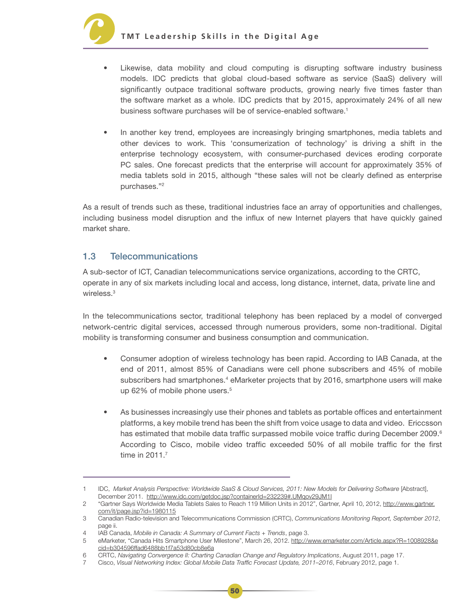

- Likewise, data mobility and cloud computing is disrupting software industry business models. IDC predicts that global cloud-based software as service (SaaS) delivery will significantly outpace traditional software products, growing nearly five times faster than the software market as a whole. IDC predicts that by 2015, approximately 24% of all new business software purchases will be of service-enabled software.<sup>1</sup>
- In another key trend, employees are increasingly bringing smartphones, media tablets and other devices to work. This 'consumerization of technology' is driving a shift in the enterprise technology ecosystem, with consumer-purchased devices eroding corporate PC sales. One forecast predicts that the enterprise will account for approximately 35% of media tablets sold in 2015, although "these sales will not be clearly defined as enterprise purchases."2

As a result of trends such as these, traditional industries face an array of opportunities and challenges, including business model disruption and the influx of new Internet players that have quickly gained market share.

#### 1.3 Telecommunications

A sub-sector of ICT, Canadian telecommunications service organizations, according to the CRTC, operate in any of six markets including local and access, long distance, internet, data, private line and wireless.<sup>3</sup>

In the telecommunications sector, traditional telephony has been replaced by a model of converged network-centric digital services, accessed through numerous providers, some non-traditional. Digital mobility is transforming consumer and business consumption and communication.

- Consumer adoption of wireless technology has been rapid. According to IAB Canada, at the end of 2011, almost 85% of Canadians were cell phone subscribers and 45% of mobile subscribers had smartphones.<sup>4</sup> eMarketer projects that by 2016, smartphone users will make up 62% of mobile phone users.<sup>5</sup>
	- As businesses increasingly use their phones and tablets as portable offices and entertainment platforms, a key mobile trend has been the shift from voice usage to data and video. Ericcsson has estimated that mobile data traffic surpassed mobile voice traffic during December 2009.<sup>6</sup> According to Cisco, mobile video traffic exceeded 50% of all mobile traffic for the first time in 2011.7

<sup>1</sup> IDC, Market Analysis Perspective: Worldwide SaaS & Cloud Services, 2011: New Models for Delivering Software [Abstract], December 2011. http://www.idc.com/getdoc.jsp?containerId=232239#.UMqov29JM1I

<sup>2</sup> "Gartner Says Worldwide Media Tablets Sales to Reach 119 Million Units in 2012", Gartner, April 10, 2012, http://www.gartner. com/it/page.jsp?id=1980115

<sup>3</sup> Canadian Radio-television and Telecommunications Commission (CRTC), Communications Monitoring Report, September 2012, page ii.

<sup>4</sup> IAB Canada, Mobile in Canada: A Summary of Current Facts + Trends, page 3.

<sup>5</sup> eMarketer, "Canada Hits Smartphone User Milestone", March 26, 2012. http://www.emarketer.com/Article.aspx?R=1008928&e cid=b304596ffad6488bb1f7a53d80cb8e6a

<sup>6</sup> CRTC, Navigating Convergence II: Charting Canadian Change and Regulatory Implications, August 2011, page 17.

<sup>7</sup> Cisco, Visual Networking Index: Global Mobile Data Traffic Forecast Update, 2011–2016, February 2012, page 1.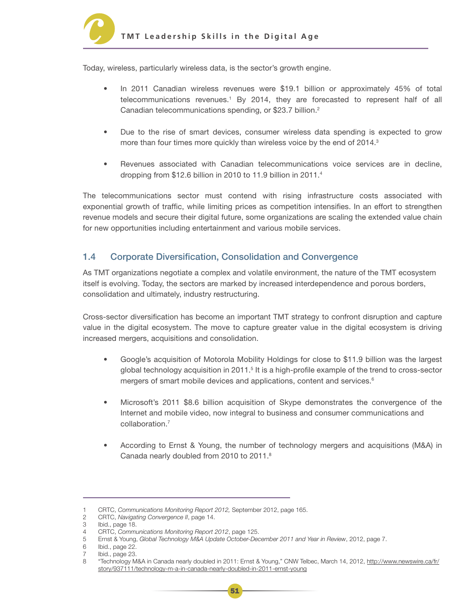Today, wireless, particularly wireless data, is the sector's growth engine.

- In 2011 Canadian wireless revenues were \$19.1 billion or approximately 45% of total telecommunications revenues.1 By 2014, they are forecasted to represent half of all Canadian telecommunications spending, or \$23.7 billion.2
- Due to the rise of smart devices, consumer wireless data spending is expected to grow more than four times more quickly than wireless voice by the end of 2014.<sup>3</sup>
- Revenues associated with Canadian telecommunications voice services are in decline, dropping from \$12.6 billion in 2010 to 11.9 billion in 2011.<sup>4</sup>

The telecommunications sector must contend with rising infrastructure costs associated with exponential growth of traffic, while limiting prices as competition intensifies. In an effort to strengthen revenue models and secure their digital future, some organizations are scaling the extended value chain for new opportunities including entertainment and various mobile services.

#### 1.4 Corporate Diversification, Consolidation and Convergence

As TMT organizations negotiate a complex and volatile environment, the nature of the TMT ecosystem itself is evolving. Today, the sectors are marked by increased interdependence and porous borders, consolidation and ultimately, industry restructuring.

Cross-sector diversification has become an important TMT strategy to confront disruption and capture value in the digital ecosystem. The move to capture greater value in the digital ecosystem is driving increased mergers, acquisitions and consolidation.

- Google's acquisition of Motorola Mobility Holdings for close to \$11.9 billion was the largest global technology acquisition in 2011.<sup>5</sup> It is a high-profile example of the trend to cross-sector mergers of smart mobile devices and applications, content and services.<sup>6</sup>
	- Microsoft's 2011 \$8.6 billion acquisition of Skype demonstrates the convergence of the Internet and mobile video, now integral to business and consumer communications and collaboration.7
- According to Ernst & Young, the number of technology mergers and acquisitions (M&A) in Canada nearly doubled from 2010 to 2011.8

<sup>1</sup> CRTC, Communications Monitoring Report 2012, September 2012, page 165.

<sup>2</sup> CRTC, Navigating Convergence II, page 14.

<sup>3</sup> Ibid., page 18.

<sup>4</sup> CRTC, Communications Monitoring Report 2012, page 125.

<sup>5</sup> Ernst & Young, Global Technology M&A Update October-December 2011 and Year in Review, 2012, page 7.

<sup>6</sup> Ibid., page 22.

<sup>7</sup> Ibid., page 23.

<sup>8</sup> "Technology M&A in Canada nearly doubled in 2011: Ernst & Young," CNW Telbec, March 14, 2012, http://www.newswire.ca/fr/ story/937111/technology-m-a-in-canada-nearly-doubled-in-2011-ernst-young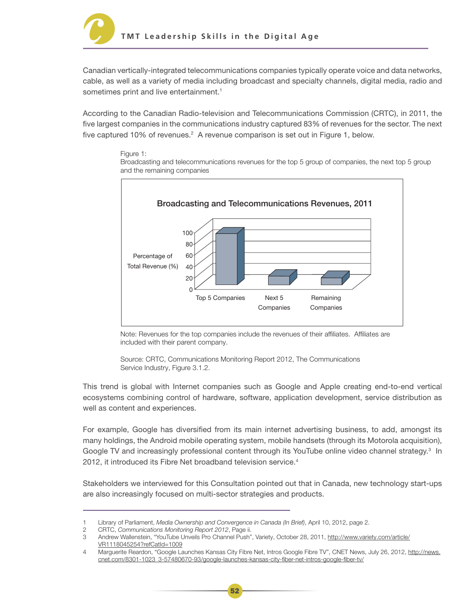

Canadian vertically-integrated telecommunications companies typically operate voice and data networks, cable, as well as a variety of media including broadcast and specialty channels, digital media, radio and sometimes print and live entertainment.<sup>1</sup>

According to the Canadian Radio-television and Telecommunications Commission (CRTC), in 2011, the five largest companies in the communications industry captured 83% of revenues for the sector. The next five captured 10% of revenues.<sup>2</sup> A revenue comparison is set out in Figure 1, below.

#### Figure 1:

Broadcasting and telecommunications revenues for the top 5 group of companies, the next top 5 group and the remaining companies



Note: Revenues for the top companies include the revenues of their affiliates. Affiliates are included with their parent company.

Source: CRTC, Communications Monitoring Report 2012, The Communications Service Industry, Figure 3.1.2.

This trend is global with Internet companies such as Google and Apple creating end-to-end vertical ecosystems combining control of hardware, software, application development, service distribution as well as content and experiences.

For example, Google has diversified from its main internet advertising business, to add, amongst its many holdings, the Android mobile operating system, mobile handsets (through its Motorola acquisition), Google TV and increasingly professional content through its YouTube online video channel strategy.<sup>3</sup> In 2012, it introduced its Fibre Net broadband television service.<sup>4</sup>

Stakeholders we interviewed for this Consultation pointed out that in Canada, new technology start-ups are also increasingly focused on multi-sector strategies and products.

<sup>1</sup> Library of Parliament, Media Ownership and Convergence in Canada (In Brief), April 10, 2012, page 2.

<sup>2</sup> CRTC, Communications Monitoring Report 2012, Page ii.

<sup>3</sup> Andrew Wallenstein, "YouTube Unveils Pro Channel Push", Variety, October 28, 2011, http://www.variety.com/article/

VR1118045254?refCatId=1009

<sup>4</sup> Marguerite Reardon, "Google Launches Kansas City Fibre Net, Intros Google Fibre TV", CNET News, July 26, 2012, http://news. cnet.com/8301-1023\_3-57480670-93/google-launches-kansas-city-fiber-net-intros-google-fiber-tv/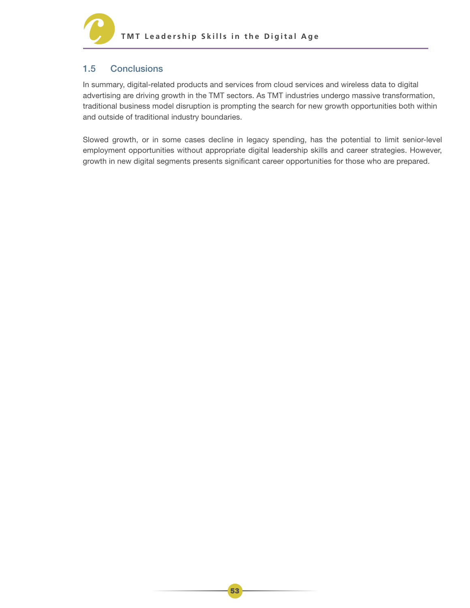

#### 1.5 Conclusions

In summary, digital-related products and services from cloud services and wireless data to digital advertising are driving growth in the TMT sectors. As TMT industries undergo massive transformation, traditional business model disruption is prompting the search for new growth opportunities both within and outside of traditional industry boundaries.

Slowed growth, or in some cases decline in legacy spending, has the potential to limit senior-level employment opportunities without appropriate digital leadership skills and career strategies. However, growth in new digital segments presents significant career opportunities for those who are prepared.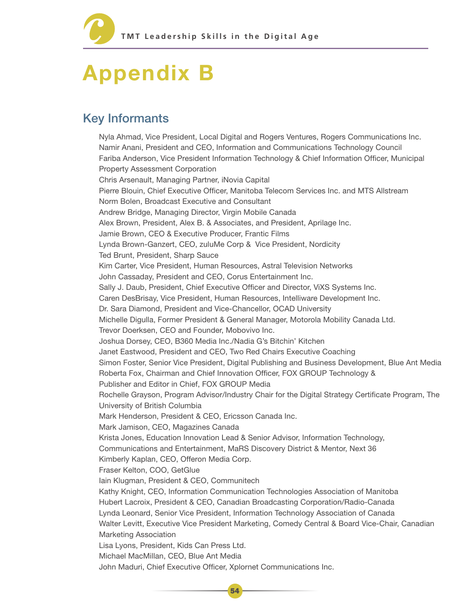## Appendix B

## Key Informants

 Nyla Ahmad, Vice President, Local Digital and Rogers Ventures, Rogers Communications Inc. Namir Anani, President and CEO, Information and Communications Technology Council Fariba Anderson, Vice President Information Technology & Chief Information Officer, Municipal Property Assessment Corporation Chris Arsenault, Managing Partner, iNovia Capital Pierre Blouin, Chief Executive Officer, Manitoba Telecom Services Inc. and MTS Allstream Norm Bolen, Broadcast Executive and Consultant Andrew Bridge, Managing Director, Virgin Mobile Canada Alex Brown, President, Alex B. & Associates, and President, Aprilage Inc. Jamie Brown, CEO & Executive Producer, Frantic Films Lynda Brown-Ganzert, CEO, zuluMe Corp & Vice President, Nordicity Ted Brunt, President, Sharp Sauce Kim Carter, Vice President, Human Resources, Astral Television Networks John Cassaday, President and CEO, Corus Entertainment Inc. Sally J. Daub, President, Chief Executive Officer and Director, ViXS Systems Inc. Caren DesBrisay, Vice President, Human Resources, Intelliware Development Inc. Dr. Sara Diamond, President and Vice-Chancellor, OCAD University Michelle Digulla, Former President & General Manager, Motorola Mobility Canada Ltd. Trevor Doerksen, CEO and Founder, Mobovivo Inc. Joshua Dorsey, CEO, B360 Media Inc./Nadia G's Bitchin' Kitchen Janet Eastwood, President and CEO, Two Red Chairs Executive Coaching Simon Foster, Senior Vice President, Digital Publishing and Business Development, Blue Ant Media Roberta Fox, Chairman and Chief Innovation Officer, FOX GROUP Technology & Publisher and Editor in Chief, FOX GROUP Media Rochelle Grayson, Program Advisor/Industry Chair for the Digital Strategy Certificate Program, The University of British Columbia Mark Henderson, President & CEO, Ericsson Canada Inc. Mark Jamison, CEO, Magazines Canada Krista Jones, Education Innovation Lead & Senior Advisor, Information Technology, Communications and Entertainment, MaRS Discovery District & Mentor, Next 36 Kimberly Kaplan, CEO, Offeron Media Corp. Fraser Kelton, COO, GetGlue Iain Klugman, President & CEO, Communitech Kathy Knight, CEO, Information Communication Technologies Association of Manitoba Hubert Lacroix, President & CEO, Canadian Broadcasting Corporation/Radio-Canada Lynda Leonard, Senior Vice President, Information Technology Association of Canada Walter Levitt, Executive Vice President Marketing, Comedy Central & Board Vice-Chair, Canadian Marketing Association Lisa Lyons, President, Kids Can Press Ltd. Michael MacMillan, CEO, Blue Ant Media John Maduri, Chief Executive Officer, Xplornet Communications Inc.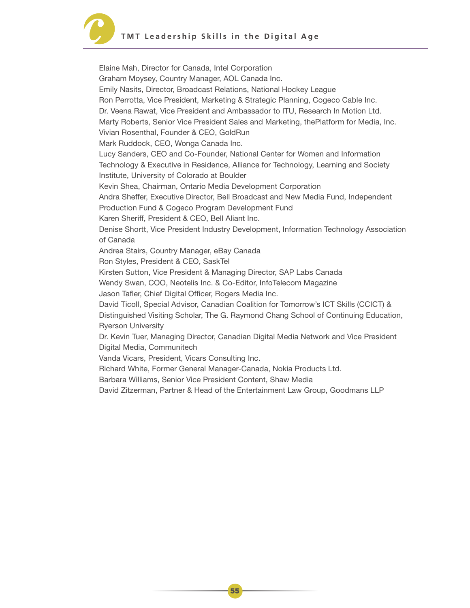# **TMT Leadership Skills in the Digital Age**

Elaine Mah, Director for Canada, Intel Corporation Graham Moysey, Country Manager, AOL Canada Inc. Emily Nasits, Director, Broadcast Relations, National Hockey League Ron Perrotta, Vice President, Marketing & Strategic Planning, Cogeco Cable Inc. Dr. Veena Rawat, Vice President and Ambassador to ITU, Research In Motion Ltd. Marty Roberts, Senior Vice President Sales and Marketing, thePlatform for Media, Inc. Vivian Rosenthal, Founder & CEO, GoldRun Mark Ruddock, CEO, Wonga Canada Inc. Lucy Sanders, CEO and Co-Founder, National Center for Women and Information Technology & Executive in Residence, Alliance for Technology, Learning and Society Institute, University of Colorado at Boulder Kevin Shea, Chairman, Ontario Media Development Corporation Andra Sheffer, Executive Director, Bell Broadcast and New Media Fund, Independent Production Fund & Cogeco Program Development Fund Karen Sheriff, President & CEO, Bell Aliant Inc. Denise Shortt, Vice President Industry Development, Information Technology Association of Canada Andrea Stairs, Country Manager, eBay Canada Ron Styles, President & CEO, SaskTel Kirsten Sutton, Vice President & Managing Director, SAP Labs Canada Wendy Swan, COO, Neotelis Inc. & Co-Editor, InfoTelecom Magazine Jason Tafler, Chief Digital Officer, Rogers Media Inc. David Ticoll, Special Advisor, Canadian Coalition for Tomorrow's ICT Skills (CCICT) & Distinguished Visiting Scholar, The G. Raymond Chang School of Continuing Education, Ryerson University Dr. Kevin Tuer, Managing Director, Canadian Digital Media Network and Vice President Digital Media, Communitech Vanda Vicars, President, Vicars Consulting Inc. Richard White, Former General Manager-Canada, Nokia Products Ltd. Barbara Williams, Senior Vice President Content, Shaw Media David Zitzerman, Partner & Head of the Entertainment Law Group, Goodmans LLP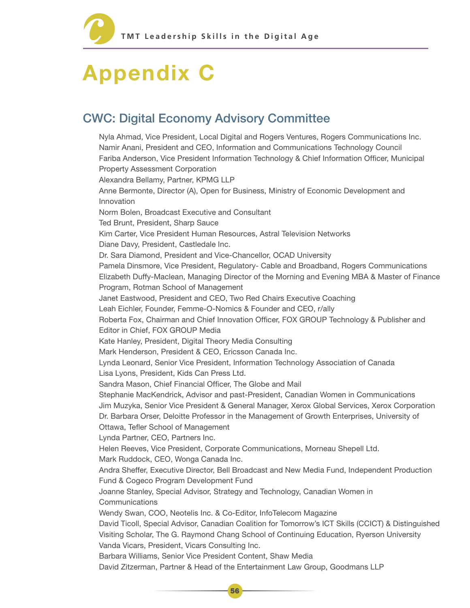## Appendix C

## CWC: Digital Economy Advisory Committee

 Nyla Ahmad, Vice President, Local Digital and Rogers Ventures, Rogers Communications Inc. Namir Anani, President and CEO, Information and Communications Technology Council Fariba Anderson, Vice President Information Technology & Chief Information Officer, Municipal Property Assessment Corporation Alexandra Bellamy, Partner, KPMG LLP Anne Bermonte, Director (A), Open for Business, Ministry of Economic Development and Innovation Norm Bolen, Broadcast Executive and Consultant Ted Brunt, President, Sharp Sauce Kim Carter, Vice President Human Resources, Astral Television Networks Diane Davy, President, Castledale Inc. Dr. Sara Diamond, President and Vice-Chancellor, OCAD University Pamela Dinsmore, Vice President, Regulatory- Cable and Broadband, Rogers Communications Elizabeth Duffy-Maclean, Managing Director of the Morning and Evening MBA & Master of Finance Program, Rotman School of Management Janet Eastwood, President and CEO, Two Red Chairs Executive Coaching Leah Eichler, Founder, Femme-O-Nomics & Founder and CEO, r/ally Roberta Fox, Chairman and Chief Innovation Officer, FOX GROUP Technology & Publisher and Editor in Chief, FOX GROUP Media Kate Hanley, President, Digital Theory Media Consulting Mark Henderson, President & CEO, Ericsson Canada Inc. Lynda Leonard, Senior Vice President, Information Technology Association of Canada Lisa Lyons, President, Kids Can Press Ltd. Sandra Mason, Chief Financial Officer, The Globe and Mail Stephanie MacKendrick, Advisor and past-President, Canadian Women in Communications Jim Muzyka, Senior Vice President & General Manager, Xerox Global Services, Xerox Corporation Dr. Barbara Orser, Deloitte Professor in the Management of Growth Enterprises, University of Ottawa, Tefler School of Management Lynda Partner, CEO, Partners Inc. Helen Reeves, Vice President, Corporate Communications, Morneau Shepell Ltd. Mark Ruddock, CEO, Wonga Canada Inc. Andra Sheffer, Executive Director, Bell Broadcast and New Media Fund, Independent Production Fund & Cogeco Program Development Fund Joanne Stanley, Special Advisor, Strategy and Technology, Canadian Women in **Communications** Wendy Swan, COO, Neotelis Inc. & Co-Editor, InfoTelecom Magazine David Ticoll, Special Advisor, Canadian Coalition for Tomorrow's ICT Skills (CCICT) & Distinguished Visiting Scholar, The G. Raymond Chang School of Continuing Education, Ryerson University Vanda Vicars, President, Vicars Consulting Inc. Barbara Williams, Senior Vice President Content, Shaw Media David Zitzerman, Partner & Head of the Entertainment Law Group, Goodmans LLP